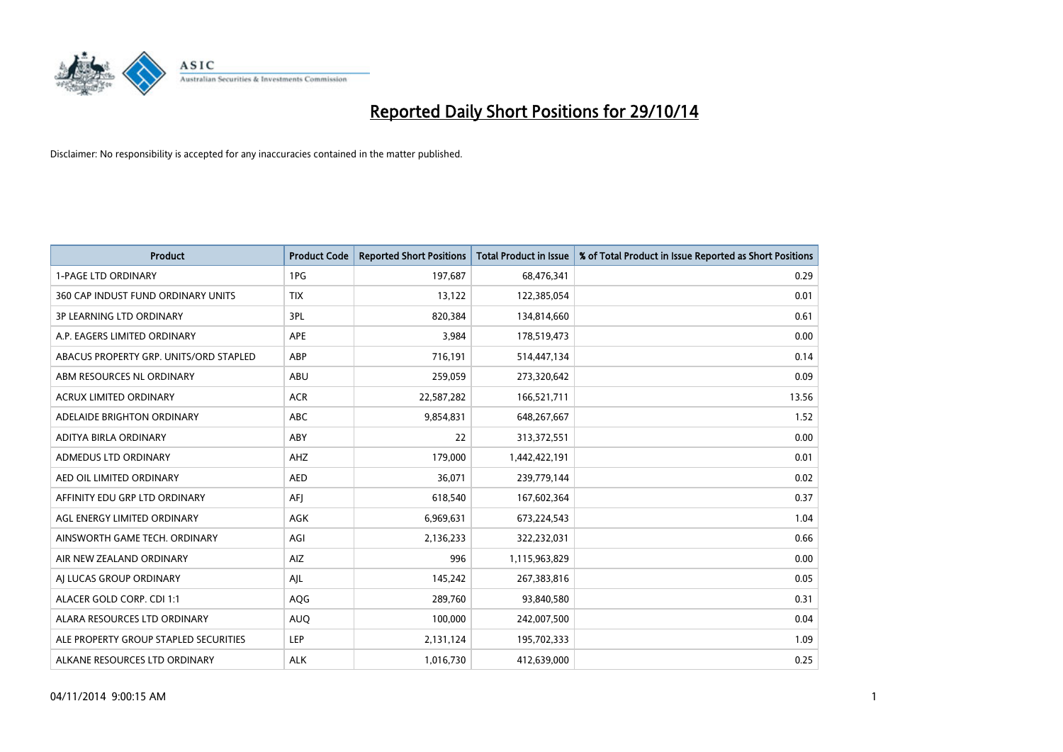

| <b>Product</b>                         | <b>Product Code</b> | <b>Reported Short Positions</b> | <b>Total Product in Issue</b> | % of Total Product in Issue Reported as Short Positions |
|----------------------------------------|---------------------|---------------------------------|-------------------------------|---------------------------------------------------------|
| <b>1-PAGE LTD ORDINARY</b>             | 1PG                 | 197,687                         | 68,476,341                    | 0.29                                                    |
| 360 CAP INDUST FUND ORDINARY UNITS     | <b>TIX</b>          | 13,122                          | 122,385,054                   | 0.01                                                    |
| <b>3P LEARNING LTD ORDINARY</b>        | 3PL                 | 820,384                         | 134,814,660                   | 0.61                                                    |
| A.P. EAGERS LIMITED ORDINARY           | <b>APE</b>          | 3,984                           | 178,519,473                   | 0.00                                                    |
| ABACUS PROPERTY GRP. UNITS/ORD STAPLED | ABP                 | 716,191                         | 514,447,134                   | 0.14                                                    |
| ABM RESOURCES NL ORDINARY              | ABU                 | 259,059                         | 273,320,642                   | 0.09                                                    |
| <b>ACRUX LIMITED ORDINARY</b>          | <b>ACR</b>          | 22,587,282                      | 166,521,711                   | 13.56                                                   |
| ADELAIDE BRIGHTON ORDINARY             | <b>ABC</b>          | 9,854,831                       | 648,267,667                   | 1.52                                                    |
| ADITYA BIRLA ORDINARY                  | ABY                 | 22                              | 313,372,551                   | 0.00                                                    |
| ADMEDUS LTD ORDINARY                   | AHZ                 | 179,000                         | 1,442,422,191                 | 0.01                                                    |
| AED OIL LIMITED ORDINARY               | <b>AED</b>          | 36,071                          | 239,779,144                   | 0.02                                                    |
| AFFINITY EDU GRP LTD ORDINARY          | AFJ                 | 618,540                         | 167,602,364                   | 0.37                                                    |
| AGL ENERGY LIMITED ORDINARY            | AGK                 | 6,969,631                       | 673,224,543                   | 1.04                                                    |
| AINSWORTH GAME TECH. ORDINARY          | AGI                 | 2,136,233                       | 322,232,031                   | 0.66                                                    |
| AIR NEW ZEALAND ORDINARY               | AIZ                 | 996                             | 1,115,963,829                 | 0.00                                                    |
| AI LUCAS GROUP ORDINARY                | AJL                 | 145,242                         | 267,383,816                   | 0.05                                                    |
| ALACER GOLD CORP. CDI 1:1              | AQG                 | 289,760                         | 93,840,580                    | 0.31                                                    |
| ALARA RESOURCES LTD ORDINARY           | <b>AUQ</b>          | 100,000                         | 242,007,500                   | 0.04                                                    |
| ALE PROPERTY GROUP STAPLED SECURITIES  | <b>LEP</b>          | 2,131,124                       | 195,702,333                   | 1.09                                                    |
| ALKANE RESOURCES LTD ORDINARY          | <b>ALK</b>          | 1,016,730                       | 412,639,000                   | 0.25                                                    |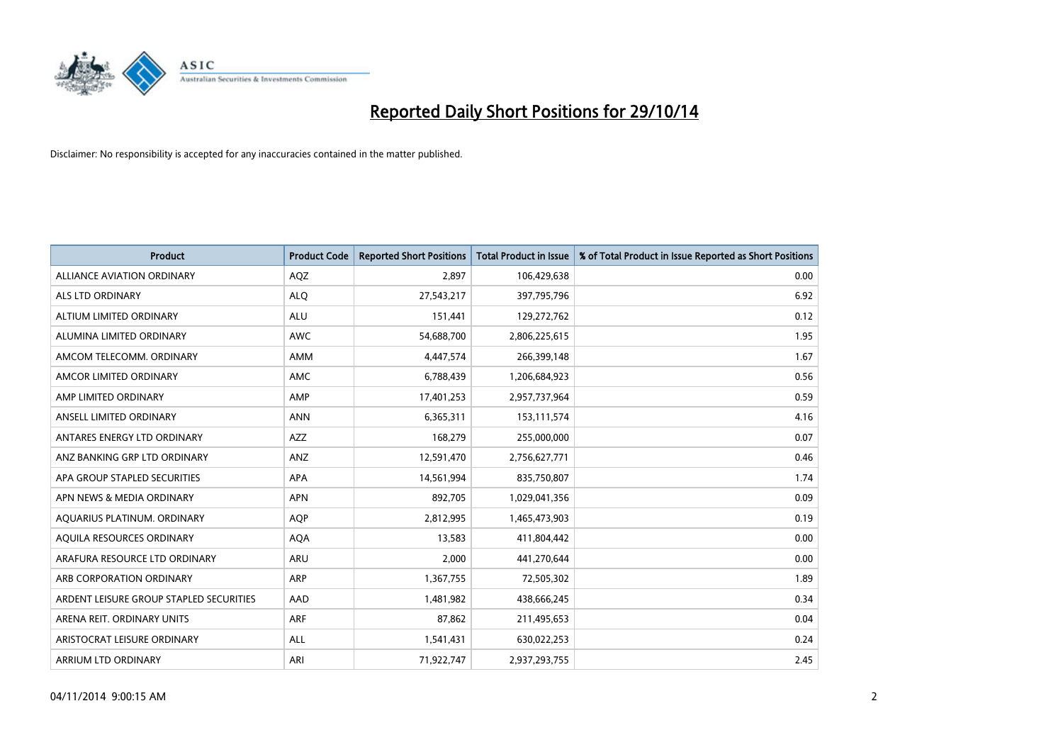

| <b>Product</b>                          | <b>Product Code</b> | <b>Reported Short Positions</b> | <b>Total Product in Issue</b> | % of Total Product in Issue Reported as Short Positions |
|-----------------------------------------|---------------------|---------------------------------|-------------------------------|---------------------------------------------------------|
| <b>ALLIANCE AVIATION ORDINARY</b>       | AQZ                 | 2,897                           | 106,429,638                   | 0.00                                                    |
| ALS LTD ORDINARY                        | <b>ALQ</b>          | 27,543,217                      | 397,795,796                   | 6.92                                                    |
| ALTIUM LIMITED ORDINARY                 | ALU                 | 151,441                         | 129,272,762                   | 0.12                                                    |
| ALUMINA LIMITED ORDINARY                | <b>AWC</b>          | 54,688,700                      | 2,806,225,615                 | 1.95                                                    |
| AMCOM TELECOMM, ORDINARY                | AMM                 | 4,447,574                       | 266,399,148                   | 1.67                                                    |
| AMCOR LIMITED ORDINARY                  | AMC                 | 6,788,439                       | 1,206,684,923                 | 0.56                                                    |
| AMP LIMITED ORDINARY                    | AMP                 | 17,401,253                      | 2,957,737,964                 | 0.59                                                    |
| ANSELL LIMITED ORDINARY                 | <b>ANN</b>          | 6,365,311                       | 153,111,574                   | 4.16                                                    |
| ANTARES ENERGY LTD ORDINARY             | <b>AZZ</b>          | 168,279                         | 255,000,000                   | 0.07                                                    |
| ANZ BANKING GRP LTD ORDINARY            | ANZ                 | 12,591,470                      | 2,756,627,771                 | 0.46                                                    |
| APA GROUP STAPLED SECURITIES            | APA                 | 14,561,994                      | 835,750,807                   | 1.74                                                    |
| APN NEWS & MEDIA ORDINARY               | <b>APN</b>          | 892,705                         | 1,029,041,356                 | 0.09                                                    |
| AQUARIUS PLATINUM. ORDINARY             | AQP                 | 2,812,995                       | 1,465,473,903                 | 0.19                                                    |
| AQUILA RESOURCES ORDINARY               | <b>AQA</b>          | 13,583                          | 411,804,442                   | 0.00                                                    |
| ARAFURA RESOURCE LTD ORDINARY           | <b>ARU</b>          | 2,000                           | 441,270,644                   | 0.00                                                    |
| ARB CORPORATION ORDINARY                | <b>ARP</b>          | 1,367,755                       | 72,505,302                    | 1.89                                                    |
| ARDENT LEISURE GROUP STAPLED SECURITIES | AAD                 | 1,481,982                       | 438,666,245                   | 0.34                                                    |
| ARENA REIT. ORDINARY UNITS              | <b>ARF</b>          | 87,862                          | 211,495,653                   | 0.04                                                    |
| ARISTOCRAT LEISURE ORDINARY             | ALL                 | 1,541,431                       | 630,022,253                   | 0.24                                                    |
| ARRIUM LTD ORDINARY                     | ARI                 | 71,922,747                      | 2,937,293,755                 | 2.45                                                    |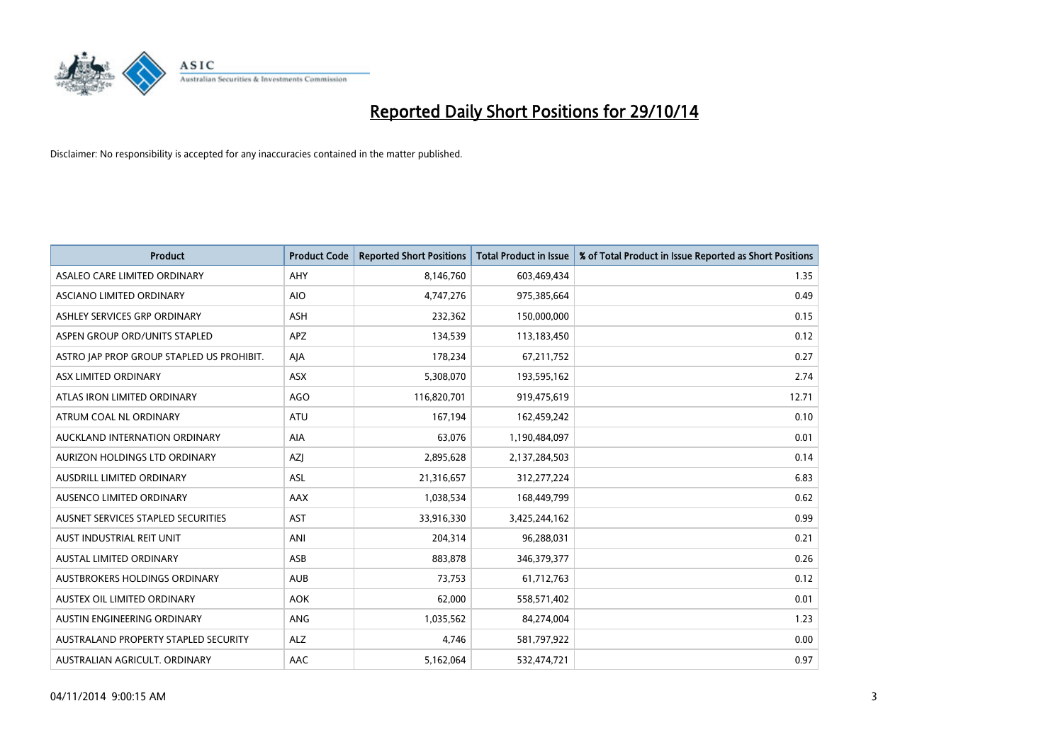

| <b>Product</b>                            | <b>Product Code</b> | <b>Reported Short Positions</b> | <b>Total Product in Issue</b> | % of Total Product in Issue Reported as Short Positions |
|-------------------------------------------|---------------------|---------------------------------|-------------------------------|---------------------------------------------------------|
| ASALEO CARE LIMITED ORDINARY              | AHY                 | 8,146,760                       | 603,469,434                   | 1.35                                                    |
| ASCIANO LIMITED ORDINARY                  | <b>AIO</b>          | 4,747,276                       | 975,385,664                   | 0.49                                                    |
| ASHLEY SERVICES GRP ORDINARY              | <b>ASH</b>          | 232,362                         | 150,000,000                   | 0.15                                                    |
| ASPEN GROUP ORD/UNITS STAPLED             | APZ                 | 134,539                         | 113,183,450                   | 0.12                                                    |
| ASTRO JAP PROP GROUP STAPLED US PROHIBIT. | AJA                 | 178,234                         | 67,211,752                    | 0.27                                                    |
| ASX LIMITED ORDINARY                      | ASX                 | 5,308,070                       | 193,595,162                   | 2.74                                                    |
| ATLAS IRON LIMITED ORDINARY               | <b>AGO</b>          | 116,820,701                     | 919,475,619                   | 12.71                                                   |
| ATRUM COAL NL ORDINARY                    | ATU                 | 167,194                         | 162,459,242                   | 0.10                                                    |
| AUCKLAND INTERNATION ORDINARY             | <b>AIA</b>          | 63,076                          | 1,190,484,097                 | 0.01                                                    |
| AURIZON HOLDINGS LTD ORDINARY             | AZI                 | 2,895,628                       | 2,137,284,503                 | 0.14                                                    |
| AUSDRILL LIMITED ORDINARY                 | ASL                 | 21,316,657                      | 312,277,224                   | 6.83                                                    |
| AUSENCO LIMITED ORDINARY                  | AAX                 | 1,038,534                       | 168,449,799                   | 0.62                                                    |
| AUSNET SERVICES STAPLED SECURITIES        | <b>AST</b>          | 33,916,330                      | 3,425,244,162                 | 0.99                                                    |
| AUST INDUSTRIAL REIT UNIT                 | ANI                 | 204,314                         | 96,288,031                    | 0.21                                                    |
| <b>AUSTAL LIMITED ORDINARY</b>            | ASB                 | 883,878                         | 346,379,377                   | 0.26                                                    |
| AUSTBROKERS HOLDINGS ORDINARY             | <b>AUB</b>          | 73,753                          | 61,712,763                    | 0.12                                                    |
| AUSTEX OIL LIMITED ORDINARY               | <b>AOK</b>          | 62,000                          | 558,571,402                   | 0.01                                                    |
| AUSTIN ENGINEERING ORDINARY               | <b>ANG</b>          | 1,035,562                       | 84,274,004                    | 1.23                                                    |
| AUSTRALAND PROPERTY STAPLED SECURITY      | <b>ALZ</b>          | 4,746                           | 581,797,922                   | 0.00                                                    |
| AUSTRALIAN AGRICULT. ORDINARY             | AAC                 | 5,162,064                       | 532,474,721                   | 0.97                                                    |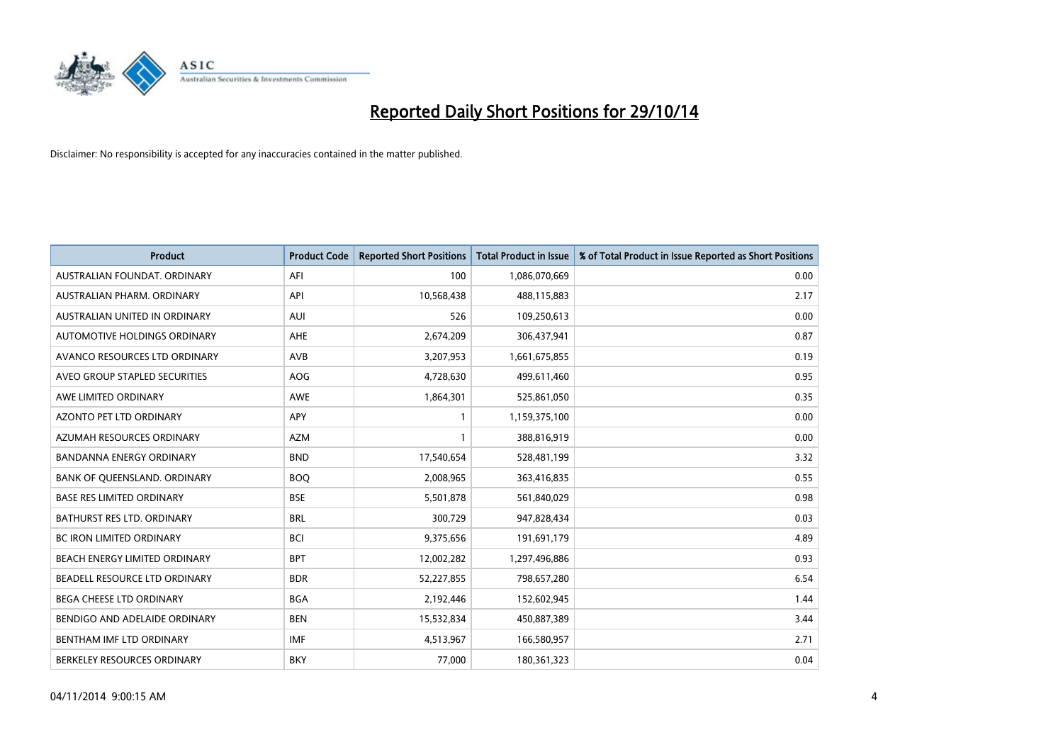

| <b>Product</b>                    | <b>Product Code</b> | <b>Reported Short Positions</b> | <b>Total Product in Issue</b> | % of Total Product in Issue Reported as Short Positions |
|-----------------------------------|---------------------|---------------------------------|-------------------------------|---------------------------------------------------------|
| AUSTRALIAN FOUNDAT, ORDINARY      | AFI                 | 100                             | 1,086,070,669                 | 0.00                                                    |
| AUSTRALIAN PHARM. ORDINARY        | API                 | 10,568,438                      | 488,115,883                   | 2.17                                                    |
| AUSTRALIAN UNITED IN ORDINARY     | <b>AUI</b>          | 526                             | 109,250,613                   | 0.00                                                    |
| AUTOMOTIVE HOLDINGS ORDINARY      | AHE                 | 2,674,209                       | 306,437,941                   | 0.87                                                    |
| AVANCO RESOURCES LTD ORDINARY     | AVB                 | 3,207,953                       | 1,661,675,855                 | 0.19                                                    |
| AVEO GROUP STAPLED SECURITIES     | AOG                 | 4,728,630                       | 499,611,460                   | 0.95                                                    |
| AWE LIMITED ORDINARY              | <b>AWE</b>          | 1,864,301                       | 525,861,050                   | 0.35                                                    |
| AZONTO PET LTD ORDINARY           | APY                 | $\mathbf{1}$                    | 1,159,375,100                 | 0.00                                                    |
| AZUMAH RESOURCES ORDINARY         | <b>AZM</b>          | $\mathbf{1}$                    | 388,816,919                   | 0.00                                                    |
| <b>BANDANNA ENERGY ORDINARY</b>   | <b>BND</b>          | 17,540,654                      | 528,481,199                   | 3.32                                                    |
| BANK OF QUEENSLAND. ORDINARY      | <b>BOQ</b>          | 2,008,965                       | 363,416,835                   | 0.55                                                    |
| <b>BASE RES LIMITED ORDINARY</b>  | <b>BSE</b>          | 5,501,878                       | 561,840,029                   | 0.98                                                    |
| <b>BATHURST RES LTD. ORDINARY</b> | <b>BRL</b>          | 300,729                         | 947,828,434                   | 0.03                                                    |
| <b>BC IRON LIMITED ORDINARY</b>   | <b>BCI</b>          | 9,375,656                       | 191,691,179                   | 4.89                                                    |
| BEACH ENERGY LIMITED ORDINARY     | <b>BPT</b>          | 12,002,282                      | 1,297,496,886                 | 0.93                                                    |
| BEADELL RESOURCE LTD ORDINARY     | <b>BDR</b>          | 52,227,855                      | 798,657,280                   | 6.54                                                    |
| BEGA CHEESE LTD ORDINARY          | <b>BGA</b>          | 2,192,446                       | 152,602,945                   | 1.44                                                    |
| BENDIGO AND ADELAIDE ORDINARY     | <b>BEN</b>          | 15,532,834                      | 450,887,389                   | 3.44                                                    |
| BENTHAM IMF LTD ORDINARY          | <b>IMF</b>          | 4,513,967                       | 166,580,957                   | 2.71                                                    |
| BERKELEY RESOURCES ORDINARY       | <b>BKY</b>          | 77,000                          | 180,361,323                   | 0.04                                                    |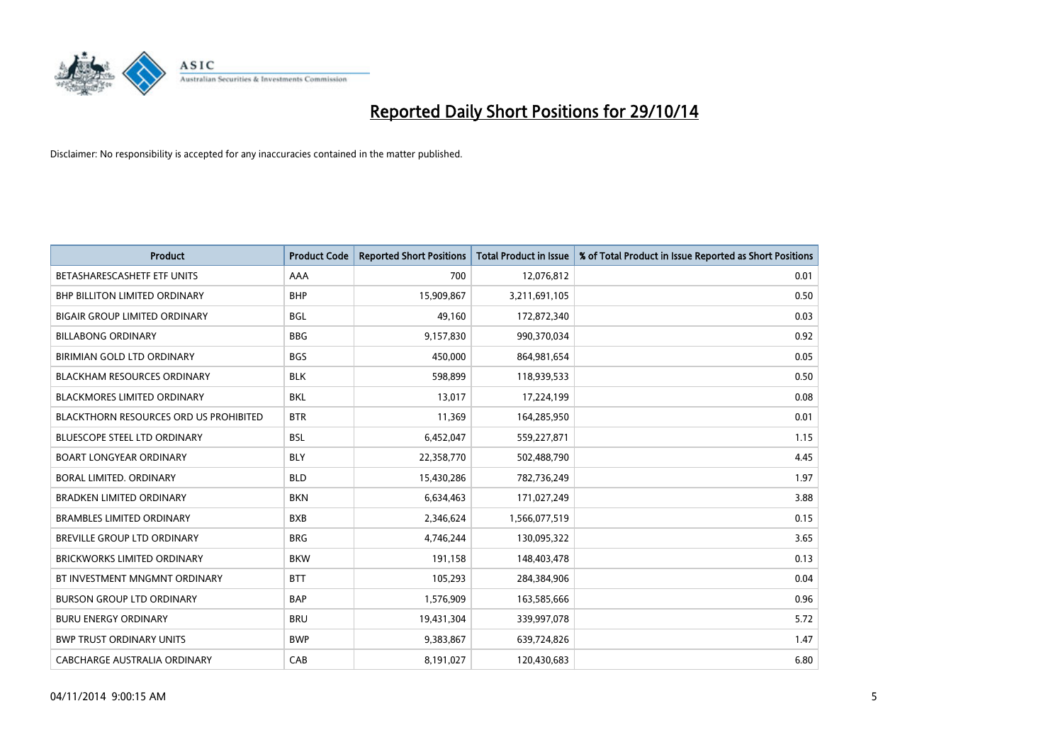

| <b>Product</b>                                | <b>Product Code</b> | <b>Reported Short Positions</b> | <b>Total Product in Issue</b> | % of Total Product in Issue Reported as Short Positions |
|-----------------------------------------------|---------------------|---------------------------------|-------------------------------|---------------------------------------------------------|
| BETASHARESCASHETF ETF UNITS                   | AAA                 | 700                             | 12,076,812                    | 0.01                                                    |
| <b>BHP BILLITON LIMITED ORDINARY</b>          | <b>BHP</b>          | 15,909,867                      | 3,211,691,105                 | 0.50                                                    |
| <b>BIGAIR GROUP LIMITED ORDINARY</b>          | <b>BGL</b>          | 49,160                          | 172,872,340                   | 0.03                                                    |
| <b>BILLABONG ORDINARY</b>                     | <b>BBG</b>          | 9,157,830                       | 990,370,034                   | 0.92                                                    |
| BIRIMIAN GOLD LTD ORDINARY                    | <b>BGS</b>          | 450,000                         | 864,981,654                   | 0.05                                                    |
| <b>BLACKHAM RESOURCES ORDINARY</b>            | <b>BLK</b>          | 598,899                         | 118,939,533                   | 0.50                                                    |
| <b>BLACKMORES LIMITED ORDINARY</b>            | <b>BKL</b>          | 13,017                          | 17,224,199                    | 0.08                                                    |
| <b>BLACKTHORN RESOURCES ORD US PROHIBITED</b> | <b>BTR</b>          | 11,369                          | 164,285,950                   | 0.01                                                    |
| <b>BLUESCOPE STEEL LTD ORDINARY</b>           | <b>BSL</b>          | 6,452,047                       | 559,227,871                   | 1.15                                                    |
| <b>BOART LONGYEAR ORDINARY</b>                | <b>BLY</b>          | 22,358,770                      | 502,488,790                   | 4.45                                                    |
| BORAL LIMITED, ORDINARY                       | <b>BLD</b>          | 15,430,286                      | 782,736,249                   | 1.97                                                    |
| <b>BRADKEN LIMITED ORDINARY</b>               | <b>BKN</b>          | 6,634,463                       | 171,027,249                   | 3.88                                                    |
| <b>BRAMBLES LIMITED ORDINARY</b>              | <b>BXB</b>          | 2,346,624                       | 1,566,077,519                 | 0.15                                                    |
| BREVILLE GROUP LTD ORDINARY                   | <b>BRG</b>          | 4,746,244                       | 130,095,322                   | 3.65                                                    |
| BRICKWORKS LIMITED ORDINARY                   | <b>BKW</b>          | 191,158                         | 148,403,478                   | 0.13                                                    |
| BT INVESTMENT MNGMNT ORDINARY                 | <b>BTT</b>          | 105,293                         | 284,384,906                   | 0.04                                                    |
| <b>BURSON GROUP LTD ORDINARY</b>              | <b>BAP</b>          | 1,576,909                       | 163,585,666                   | 0.96                                                    |
| <b>BURU ENERGY ORDINARY</b>                   | <b>BRU</b>          | 19,431,304                      | 339,997,078                   | 5.72                                                    |
| <b>BWP TRUST ORDINARY UNITS</b>               | <b>BWP</b>          | 9,383,867                       | 639,724,826                   | 1.47                                                    |
| CABCHARGE AUSTRALIA ORDINARY                  | CAB                 | 8,191,027                       | 120,430,683                   | 6.80                                                    |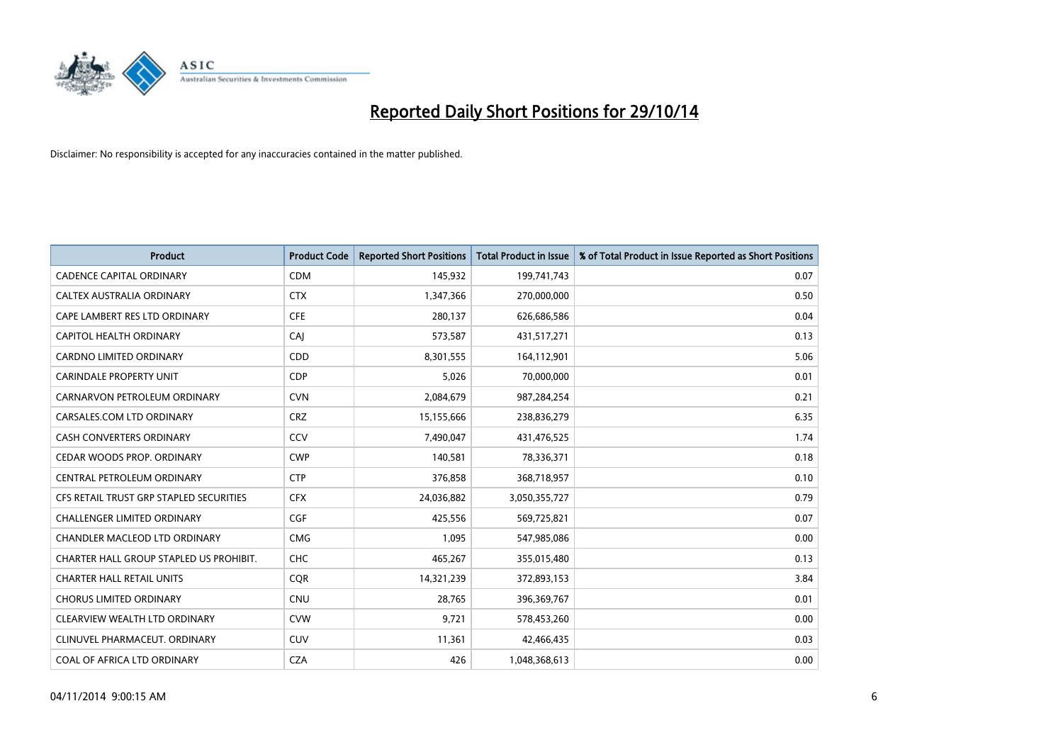

| <b>Product</b>                          | <b>Product Code</b> | <b>Reported Short Positions</b> | <b>Total Product in Issue</b> | % of Total Product in Issue Reported as Short Positions |
|-----------------------------------------|---------------------|---------------------------------|-------------------------------|---------------------------------------------------------|
| <b>CADENCE CAPITAL ORDINARY</b>         | <b>CDM</b>          | 145,932                         | 199,741,743                   | 0.07                                                    |
| CALTEX AUSTRALIA ORDINARY               | <b>CTX</b>          | 1,347,366                       | 270,000,000                   | 0.50                                                    |
| CAPE LAMBERT RES LTD ORDINARY           | <b>CFE</b>          | 280,137                         | 626,686,586                   | 0.04                                                    |
| <b>CAPITOL HEALTH ORDINARY</b>          | CAI                 | 573,587                         | 431,517,271                   | 0.13                                                    |
| <b>CARDNO LIMITED ORDINARY</b>          | CDD                 | 8,301,555                       | 164,112,901                   | 5.06                                                    |
| <b>CARINDALE PROPERTY UNIT</b>          | <b>CDP</b>          | 5,026                           | 70,000,000                    | 0.01                                                    |
| CARNARVON PETROLEUM ORDINARY            | <b>CVN</b>          | 2,084,679                       | 987,284,254                   | 0.21                                                    |
| CARSALES.COM LTD ORDINARY               | <b>CRZ</b>          | 15,155,666                      | 238,836,279                   | 6.35                                                    |
| <b>CASH CONVERTERS ORDINARY</b>         | CCV                 | 7,490,047                       | 431,476,525                   | 1.74                                                    |
| CEDAR WOODS PROP. ORDINARY              | <b>CWP</b>          | 140,581                         | 78,336,371                    | 0.18                                                    |
| CENTRAL PETROLEUM ORDINARY              | <b>CTP</b>          | 376,858                         | 368,718,957                   | 0.10                                                    |
| CFS RETAIL TRUST GRP STAPLED SECURITIES | <b>CFX</b>          | 24,036,882                      | 3,050,355,727                 | 0.79                                                    |
| <b>CHALLENGER LIMITED ORDINARY</b>      | <b>CGF</b>          | 425,556                         | 569,725,821                   | 0.07                                                    |
| <b>CHANDLER MACLEOD LTD ORDINARY</b>    | <b>CMG</b>          | 1,095                           | 547,985,086                   | 0.00                                                    |
| CHARTER HALL GROUP STAPLED US PROHIBIT. | <b>CHC</b>          | 465,267                         | 355,015,480                   | 0.13                                                    |
| <b>CHARTER HALL RETAIL UNITS</b>        | <b>CQR</b>          | 14,321,239                      | 372,893,153                   | 3.84                                                    |
| <b>CHORUS LIMITED ORDINARY</b>          | <b>CNU</b>          | 28,765                          | 396,369,767                   | 0.01                                                    |
| CLEARVIEW WEALTH LTD ORDINARY           | <b>CVW</b>          | 9,721                           | 578,453,260                   | 0.00                                                    |
| CLINUVEL PHARMACEUT, ORDINARY           | <b>CUV</b>          | 11,361                          | 42,466,435                    | 0.03                                                    |
| COAL OF AFRICA LTD ORDINARY             | <b>CZA</b>          | 426                             | 1,048,368,613                 | 0.00                                                    |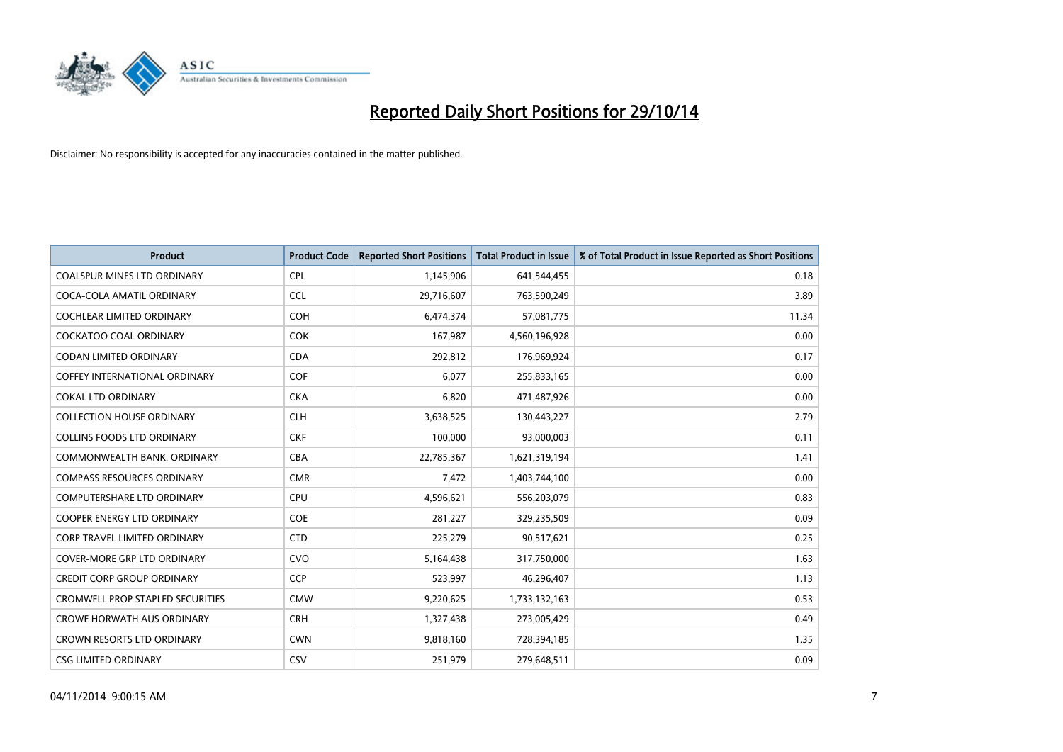

| <b>Product</b>                          | <b>Product Code</b> | <b>Reported Short Positions</b> | <b>Total Product in Issue</b> | % of Total Product in Issue Reported as Short Positions |
|-----------------------------------------|---------------------|---------------------------------|-------------------------------|---------------------------------------------------------|
| <b>COALSPUR MINES LTD ORDINARY</b>      | <b>CPL</b>          | 1,145,906                       | 641,544,455                   | 0.18                                                    |
| COCA-COLA AMATIL ORDINARY               | <b>CCL</b>          | 29,716,607                      | 763,590,249                   | 3.89                                                    |
| <b>COCHLEAR LIMITED ORDINARY</b>        | <b>COH</b>          | 6,474,374                       | 57,081,775                    | 11.34                                                   |
| <b>COCKATOO COAL ORDINARY</b>           | <b>COK</b>          | 167,987                         | 4,560,196,928                 | 0.00                                                    |
| <b>CODAN LIMITED ORDINARY</b>           | <b>CDA</b>          | 292,812                         | 176,969,924                   | 0.17                                                    |
| <b>COFFEY INTERNATIONAL ORDINARY</b>    | COF                 | 6,077                           | 255,833,165                   | 0.00                                                    |
| <b>COKAL LTD ORDINARY</b>               | <b>CKA</b>          | 6,820                           | 471,487,926                   | 0.00                                                    |
| <b>COLLECTION HOUSE ORDINARY</b>        | <b>CLH</b>          | 3,638,525                       | 130,443,227                   | 2.79                                                    |
| <b>COLLINS FOODS LTD ORDINARY</b>       | <b>CKF</b>          | 100,000                         | 93,000,003                    | 0.11                                                    |
| COMMONWEALTH BANK, ORDINARY             | <b>CBA</b>          | 22,785,367                      | 1,621,319,194                 | 1.41                                                    |
| <b>COMPASS RESOURCES ORDINARY</b>       | <b>CMR</b>          | 7,472                           | 1,403,744,100                 | 0.00                                                    |
| <b>COMPUTERSHARE LTD ORDINARY</b>       | <b>CPU</b>          | 4,596,621                       | 556,203,079                   | 0.83                                                    |
| <b>COOPER ENERGY LTD ORDINARY</b>       | <b>COE</b>          | 281,227                         | 329,235,509                   | 0.09                                                    |
| CORP TRAVEL LIMITED ORDINARY            | <b>CTD</b>          | 225,279                         | 90,517,621                    | 0.25                                                    |
| <b>COVER-MORE GRP LTD ORDINARY</b>      | <b>CVO</b>          | 5,164,438                       | 317,750,000                   | 1.63                                                    |
| <b>CREDIT CORP GROUP ORDINARY</b>       | <b>CCP</b>          | 523,997                         | 46,296,407                    | 1.13                                                    |
| <b>CROMWELL PROP STAPLED SECURITIES</b> | <b>CMW</b>          | 9,220,625                       | 1,733,132,163                 | 0.53                                                    |
| <b>CROWE HORWATH AUS ORDINARY</b>       | <b>CRH</b>          | 1,327,438                       | 273,005,429                   | 0.49                                                    |
| <b>CROWN RESORTS LTD ORDINARY</b>       | <b>CWN</b>          | 9,818,160                       | 728,394,185                   | 1.35                                                    |
| <b>CSG LIMITED ORDINARY</b>             | CSV                 | 251,979                         | 279,648,511                   | 0.09                                                    |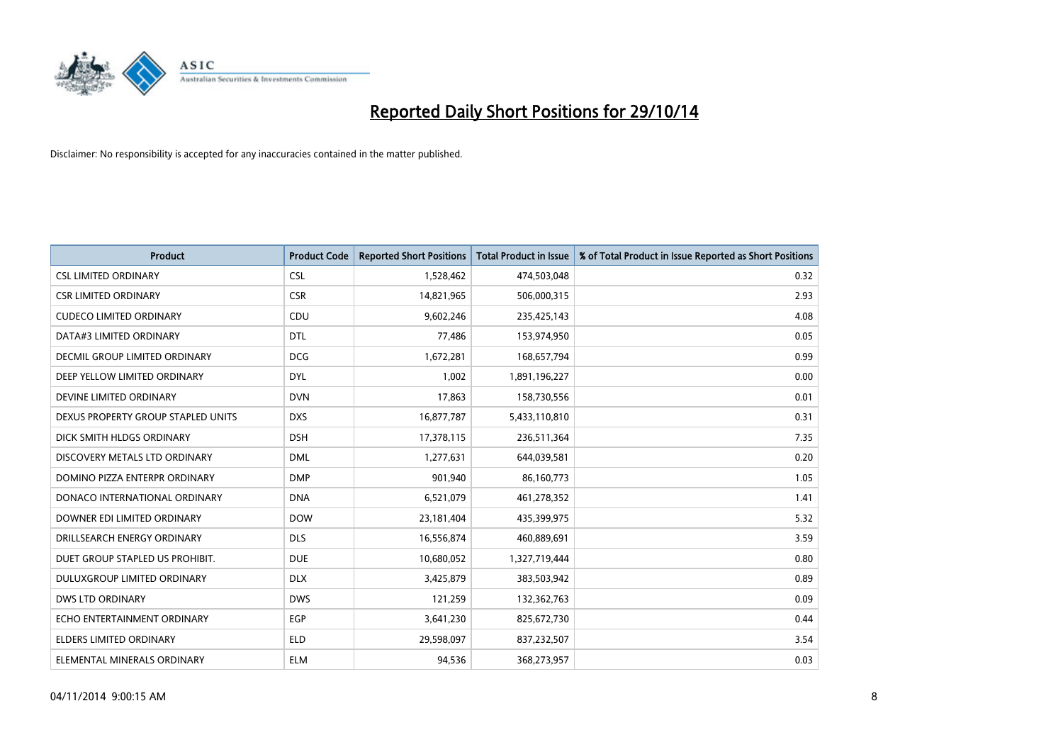

| <b>Product</b>                     | <b>Product Code</b> | <b>Reported Short Positions</b> | <b>Total Product in Issue</b> | % of Total Product in Issue Reported as Short Positions |
|------------------------------------|---------------------|---------------------------------|-------------------------------|---------------------------------------------------------|
| <b>CSL LIMITED ORDINARY</b>        | <b>CSL</b>          | 1,528,462                       | 474,503,048                   | 0.32                                                    |
| <b>CSR LIMITED ORDINARY</b>        | <b>CSR</b>          | 14,821,965                      | 506,000,315                   | 2.93                                                    |
| <b>CUDECO LIMITED ORDINARY</b>     | CDU                 | 9,602,246                       | 235,425,143                   | 4.08                                                    |
| DATA#3 LIMITED ORDINARY            | <b>DTL</b>          | 77,486                          | 153,974,950                   | 0.05                                                    |
| DECMIL GROUP LIMITED ORDINARY      | <b>DCG</b>          | 1,672,281                       | 168,657,794                   | 0.99                                                    |
| DEEP YELLOW LIMITED ORDINARY       | <b>DYL</b>          | 1,002                           | 1,891,196,227                 | 0.00                                                    |
| DEVINE LIMITED ORDINARY            | <b>DVN</b>          | 17,863                          | 158,730,556                   | 0.01                                                    |
| DEXUS PROPERTY GROUP STAPLED UNITS | <b>DXS</b>          | 16,877,787                      | 5,433,110,810                 | 0.31                                                    |
| DICK SMITH HLDGS ORDINARY          | <b>DSH</b>          | 17,378,115                      | 236,511,364                   | 7.35                                                    |
| DISCOVERY METALS LTD ORDINARY      | <b>DML</b>          | 1,277,631                       | 644,039,581                   | 0.20                                                    |
| DOMINO PIZZA ENTERPR ORDINARY      | <b>DMP</b>          | 901,940                         | 86,160,773                    | 1.05                                                    |
| DONACO INTERNATIONAL ORDINARY      | <b>DNA</b>          | 6,521,079                       | 461,278,352                   | 1.41                                                    |
| DOWNER EDI LIMITED ORDINARY        | <b>DOW</b>          | 23,181,404                      | 435,399,975                   | 5.32                                                    |
| DRILLSEARCH ENERGY ORDINARY        | <b>DLS</b>          | 16,556,874                      | 460,889,691                   | 3.59                                                    |
| DUET GROUP STAPLED US PROHIBIT.    | <b>DUE</b>          | 10,680,052                      | 1,327,719,444                 | 0.80                                                    |
| DULUXGROUP LIMITED ORDINARY        | <b>DLX</b>          | 3,425,879                       | 383,503,942                   | 0.89                                                    |
| <b>DWS LTD ORDINARY</b>            | <b>DWS</b>          | 121,259                         | 132,362,763                   | 0.09                                                    |
| ECHO ENTERTAINMENT ORDINARY        | <b>EGP</b>          | 3,641,230                       | 825,672,730                   | 0.44                                                    |
| <b>ELDERS LIMITED ORDINARY</b>     | <b>ELD</b>          | 29,598,097                      | 837,232,507                   | 3.54                                                    |
| ELEMENTAL MINERALS ORDINARY        | <b>ELM</b>          | 94,536                          | 368,273,957                   | 0.03                                                    |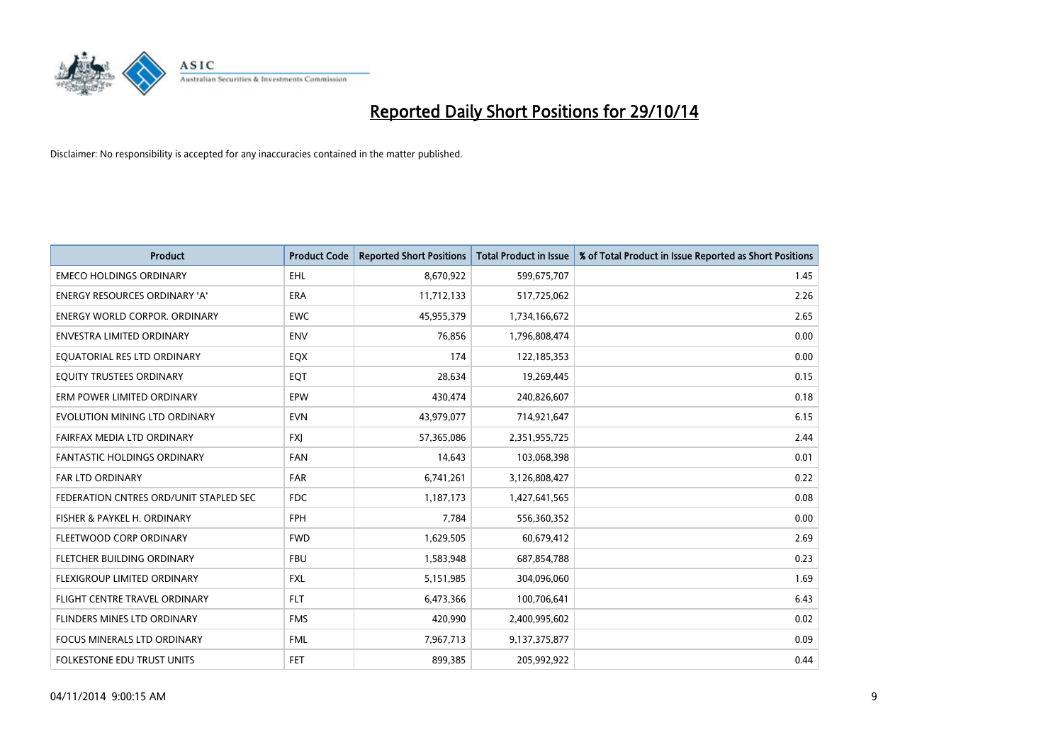

| <b>Product</b>                         | <b>Product Code</b> | <b>Reported Short Positions</b> | <b>Total Product in Issue</b> | % of Total Product in Issue Reported as Short Positions |
|----------------------------------------|---------------------|---------------------------------|-------------------------------|---------------------------------------------------------|
| <b>EMECO HOLDINGS ORDINARY</b>         | <b>EHL</b>          | 8,670,922                       | 599,675,707                   | 1.45                                                    |
| ENERGY RESOURCES ORDINARY 'A'          | ERA                 | 11,712,133                      | 517,725,062                   | 2.26                                                    |
| <b>ENERGY WORLD CORPOR, ORDINARY</b>   | <b>EWC</b>          | 45,955,379                      | 1,734,166,672                 | 2.65                                                    |
| ENVESTRA LIMITED ORDINARY              | <b>ENV</b>          | 76,856                          | 1,796,808,474                 | 0.00                                                    |
| EQUATORIAL RES LTD ORDINARY            | EQX                 | 174                             | 122,185,353                   | 0.00                                                    |
| EQUITY TRUSTEES ORDINARY               | EQT                 | 28,634                          | 19,269,445                    | 0.15                                                    |
| ERM POWER LIMITED ORDINARY             | <b>EPW</b>          | 430,474                         | 240,826,607                   | 0.18                                                    |
| EVOLUTION MINING LTD ORDINARY          | <b>EVN</b>          | 43,979,077                      | 714,921,647                   | 6.15                                                    |
| FAIRFAX MEDIA LTD ORDINARY             | <b>FXI</b>          | 57,365,086                      | 2,351,955,725                 | 2.44                                                    |
| <b>FANTASTIC HOLDINGS ORDINARY</b>     | <b>FAN</b>          | 14,643                          | 103,068,398                   | 0.01                                                    |
| FAR LTD ORDINARY                       | FAR                 | 6,741,261                       | 3,126,808,427                 | 0.22                                                    |
| FEDERATION CNTRES ORD/UNIT STAPLED SEC | <b>FDC</b>          | 1,187,173                       | 1,427,641,565                 | 0.08                                                    |
| FISHER & PAYKEL H. ORDINARY            | <b>FPH</b>          | 7,784                           | 556,360,352                   | 0.00                                                    |
| FLEETWOOD CORP ORDINARY                | <b>FWD</b>          | 1,629,505                       | 60,679,412                    | 2.69                                                    |
| FLETCHER BUILDING ORDINARY             | <b>FBU</b>          | 1,583,948                       | 687,854,788                   | 0.23                                                    |
| FLEXIGROUP LIMITED ORDINARY            | <b>FXL</b>          | 5,151,985                       | 304,096,060                   | 1.69                                                    |
| FLIGHT CENTRE TRAVEL ORDINARY          | <b>FLT</b>          | 6,473,366                       | 100,706,641                   | 6.43                                                    |
| FLINDERS MINES LTD ORDINARY            | <b>FMS</b>          | 420,990                         | 2,400,995,602                 | 0.02                                                    |
| <b>FOCUS MINERALS LTD ORDINARY</b>     | <b>FML</b>          | 7,967,713                       | 9,137,375,877                 | 0.09                                                    |
| FOLKESTONE EDU TRUST UNITS             | <b>FET</b>          | 899,385                         | 205,992,922                   | 0.44                                                    |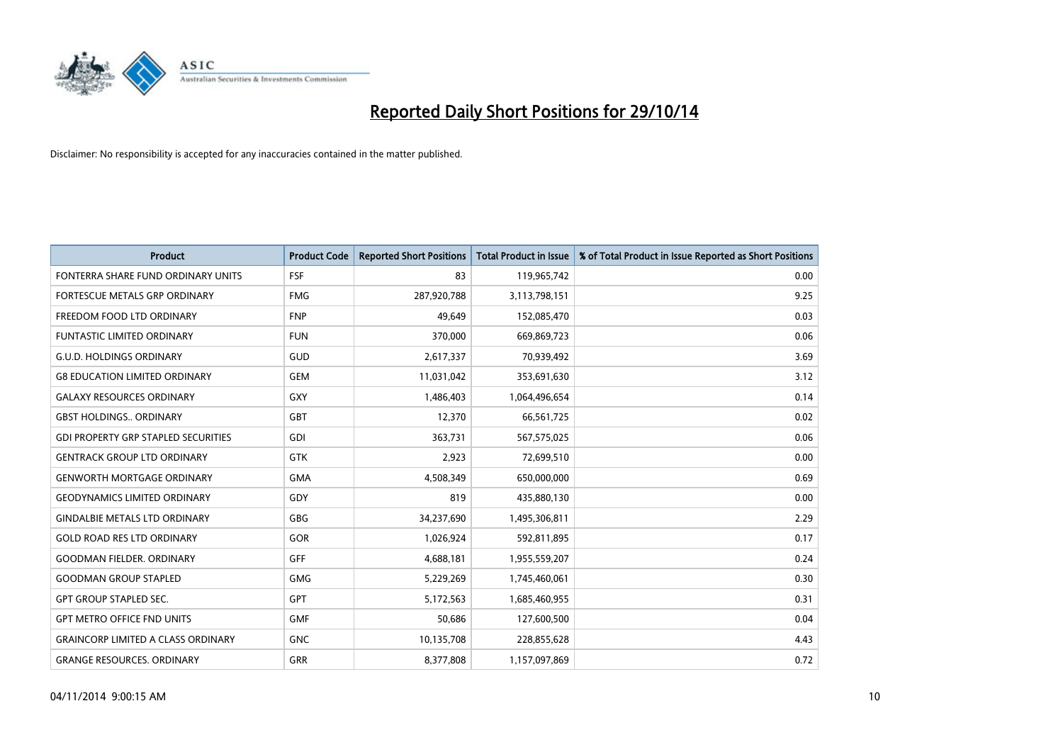

| <b>Product</b>                             | <b>Product Code</b> | <b>Reported Short Positions</b> | <b>Total Product in Issue</b> | % of Total Product in Issue Reported as Short Positions |
|--------------------------------------------|---------------------|---------------------------------|-------------------------------|---------------------------------------------------------|
| FONTERRA SHARE FUND ORDINARY UNITS         | <b>FSF</b>          | 83                              | 119,965,742                   | 0.00                                                    |
| FORTESCUE METALS GRP ORDINARY              | <b>FMG</b>          | 287,920,788                     | 3,113,798,151                 | 9.25                                                    |
| FREEDOM FOOD LTD ORDINARY                  | <b>FNP</b>          | 49,649                          | 152,085,470                   | 0.03                                                    |
| FUNTASTIC LIMITED ORDINARY                 | <b>FUN</b>          | 370,000                         | 669,869,723                   | 0.06                                                    |
| <b>G.U.D. HOLDINGS ORDINARY</b>            | GUD                 | 2,617,337                       | 70,939,492                    | 3.69                                                    |
| <b>G8 EDUCATION LIMITED ORDINARY</b>       | <b>GEM</b>          | 11,031,042                      | 353,691,630                   | 3.12                                                    |
| <b>GALAXY RESOURCES ORDINARY</b>           | <b>GXY</b>          | 1,486,403                       | 1,064,496,654                 | 0.14                                                    |
| <b>GBST HOLDINGS ORDINARY</b>              | <b>GBT</b>          | 12,370                          | 66,561,725                    | 0.02                                                    |
| <b>GDI PROPERTY GRP STAPLED SECURITIES</b> | GDI                 | 363,731                         | 567,575,025                   | 0.06                                                    |
| <b>GENTRACK GROUP LTD ORDINARY</b>         | <b>GTK</b>          | 2,923                           | 72,699,510                    | 0.00                                                    |
| <b>GENWORTH MORTGAGE ORDINARY</b>          | <b>GMA</b>          | 4,508,349                       | 650,000,000                   | 0.69                                                    |
| <b>GEODYNAMICS LIMITED ORDINARY</b>        | GDY                 | 819                             | 435,880,130                   | 0.00                                                    |
| <b>GINDALBIE METALS LTD ORDINARY</b>       | GBG                 | 34,237,690                      | 1,495,306,811                 | 2.29                                                    |
| <b>GOLD ROAD RES LTD ORDINARY</b>          | GOR                 | 1,026,924                       | 592,811,895                   | 0.17                                                    |
| <b>GOODMAN FIELDER, ORDINARY</b>           | <b>GFF</b>          | 4,688,181                       | 1,955,559,207                 | 0.24                                                    |
| <b>GOODMAN GROUP STAPLED</b>               | <b>GMG</b>          | 5,229,269                       | 1,745,460,061                 | 0.30                                                    |
| <b>GPT GROUP STAPLED SEC.</b>              | <b>GPT</b>          | 5,172,563                       | 1,685,460,955                 | 0.31                                                    |
| <b>GPT METRO OFFICE FND UNITS</b>          | <b>GMF</b>          | 50,686                          | 127,600,500                   | 0.04                                                    |
| <b>GRAINCORP LIMITED A CLASS ORDINARY</b>  | <b>GNC</b>          | 10,135,708                      | 228,855,628                   | 4.43                                                    |
| <b>GRANGE RESOURCES. ORDINARY</b>          | GRR                 | 8,377,808                       | 1,157,097,869                 | 0.72                                                    |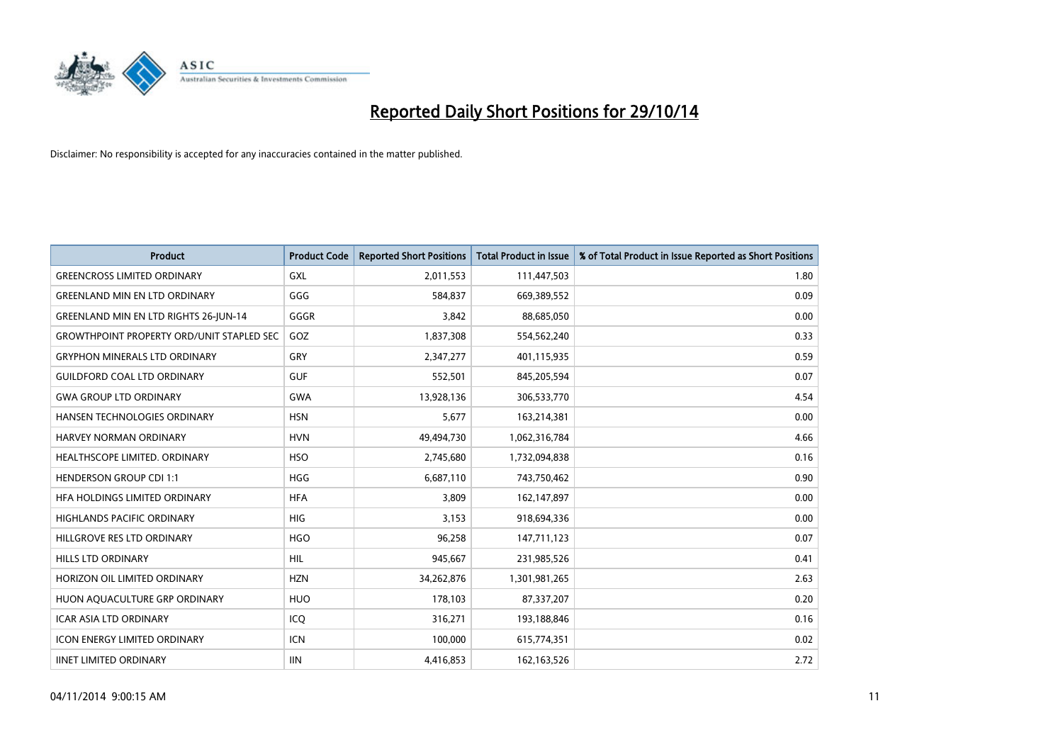

| <b>Product</b>                                   | <b>Product Code</b> | <b>Reported Short Positions</b> | <b>Total Product in Issue</b> | % of Total Product in Issue Reported as Short Positions |
|--------------------------------------------------|---------------------|---------------------------------|-------------------------------|---------------------------------------------------------|
| <b>GREENCROSS LIMITED ORDINARY</b>               | <b>GXL</b>          | 2,011,553                       | 111,447,503                   | 1.80                                                    |
| <b>GREENLAND MIN EN LTD ORDINARY</b>             | GGG                 | 584,837                         | 669,389,552                   | 0.09                                                    |
| <b>GREENLAND MIN EN LTD RIGHTS 26-JUN-14</b>     | GGGR                | 3,842                           | 88,685,050                    | 0.00                                                    |
| <b>GROWTHPOINT PROPERTY ORD/UNIT STAPLED SEC</b> | GOZ                 | 1,837,308                       | 554,562,240                   | 0.33                                                    |
| <b>GRYPHON MINERALS LTD ORDINARY</b>             | GRY                 | 2,347,277                       | 401,115,935                   | 0.59                                                    |
| <b>GUILDFORD COAL LTD ORDINARY</b>               | <b>GUF</b>          | 552,501                         | 845,205,594                   | 0.07                                                    |
| <b>GWA GROUP LTD ORDINARY</b>                    | <b>GWA</b>          | 13,928,136                      | 306,533,770                   | 4.54                                                    |
| HANSEN TECHNOLOGIES ORDINARY                     | <b>HSN</b>          | 5,677                           | 163,214,381                   | 0.00                                                    |
| <b>HARVEY NORMAN ORDINARY</b>                    | <b>HVN</b>          | 49,494,730                      | 1,062,316,784                 | 4.66                                                    |
| HEALTHSCOPE LIMITED. ORDINARY                    | <b>HSO</b>          | 2,745,680                       | 1,732,094,838                 | 0.16                                                    |
| <b>HENDERSON GROUP CDI 1:1</b>                   | <b>HGG</b>          | 6,687,110                       | 743,750,462                   | 0.90                                                    |
| HFA HOLDINGS LIMITED ORDINARY                    | <b>HFA</b>          | 3,809                           | 162,147,897                   | 0.00                                                    |
| <b>HIGHLANDS PACIFIC ORDINARY</b>                | <b>HIG</b>          | 3,153                           | 918,694,336                   | 0.00                                                    |
| HILLGROVE RES LTD ORDINARY                       | <b>HGO</b>          | 96,258                          | 147,711,123                   | 0.07                                                    |
| <b>HILLS LTD ORDINARY</b>                        | <b>HIL</b>          | 945,667                         | 231,985,526                   | 0.41                                                    |
| HORIZON OIL LIMITED ORDINARY                     | <b>HZN</b>          | 34,262,876                      | 1,301,981,265                 | 2.63                                                    |
| HUON AQUACULTURE GRP ORDINARY                    | <b>HUO</b>          | 178,103                         | 87,337,207                    | 0.20                                                    |
| <b>ICAR ASIA LTD ORDINARY</b>                    | ICQ                 | 316,271                         | 193,188,846                   | 0.16                                                    |
| <b>ICON ENERGY LIMITED ORDINARY</b>              | <b>ICN</b>          | 100,000                         | 615,774,351                   | 0.02                                                    |
| <b>IINET LIMITED ORDINARY</b>                    | <b>IIN</b>          | 4,416,853                       | 162,163,526                   | 2.72                                                    |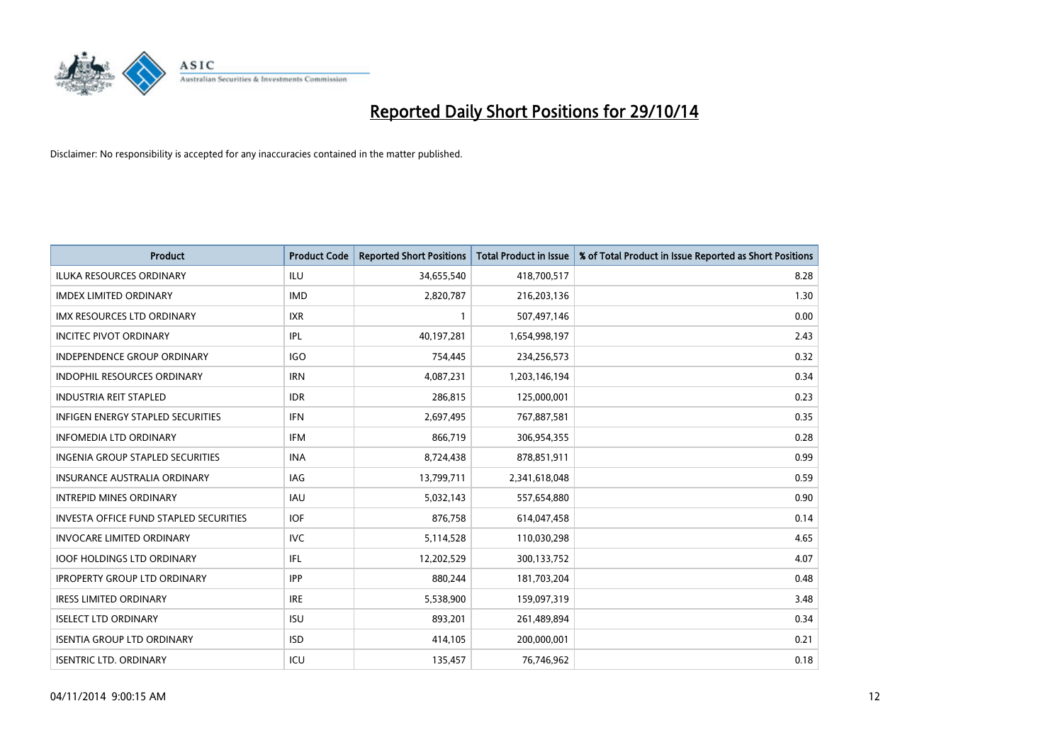

| <b>Product</b>                                | <b>Product Code</b> | <b>Reported Short Positions</b> | <b>Total Product in Issue</b> | % of Total Product in Issue Reported as Short Positions |
|-----------------------------------------------|---------------------|---------------------------------|-------------------------------|---------------------------------------------------------|
| <b>ILUKA RESOURCES ORDINARY</b>               | ILU                 | 34,655,540                      | 418,700,517                   | 8.28                                                    |
| <b>IMDEX LIMITED ORDINARY</b>                 | <b>IMD</b>          | 2,820,787                       | 216,203,136                   | 1.30                                                    |
| <b>IMX RESOURCES LTD ORDINARY</b>             | <b>IXR</b>          | $\mathbf{1}$                    | 507,497,146                   | 0.00                                                    |
| <b>INCITEC PIVOT ORDINARY</b>                 | IPL                 | 40,197,281                      | 1,654,998,197                 | 2.43                                                    |
| <b>INDEPENDENCE GROUP ORDINARY</b>            | <b>IGO</b>          | 754,445                         | 234,256,573                   | 0.32                                                    |
| <b>INDOPHIL RESOURCES ORDINARY</b>            | <b>IRN</b>          | 4,087,231                       | 1,203,146,194                 | 0.34                                                    |
| <b>INDUSTRIA REIT STAPLED</b>                 | <b>IDR</b>          | 286,815                         | 125,000,001                   | 0.23                                                    |
| <b>INFIGEN ENERGY STAPLED SECURITIES</b>      | <b>IFN</b>          | 2,697,495                       | 767,887,581                   | 0.35                                                    |
| INFOMEDIA LTD ORDINARY                        | <b>IFM</b>          | 866,719                         | 306,954,355                   | 0.28                                                    |
| <b>INGENIA GROUP STAPLED SECURITIES</b>       | <b>INA</b>          | 8,724,438                       | 878,851,911                   | 0.99                                                    |
| <b>INSURANCE AUSTRALIA ORDINARY</b>           | IAG                 | 13,799,711                      | 2,341,618,048                 | 0.59                                                    |
| <b>INTREPID MINES ORDINARY</b>                | IAU                 | 5,032,143                       | 557,654,880                   | 0.90                                                    |
| <b>INVESTA OFFICE FUND STAPLED SECURITIES</b> | <b>IOF</b>          | 876,758                         | 614,047,458                   | 0.14                                                    |
| <b>INVOCARE LIMITED ORDINARY</b>              | <b>IVC</b>          | 5,114,528                       | 110,030,298                   | 4.65                                                    |
| <b>IOOF HOLDINGS LTD ORDINARY</b>             | IFL                 | 12,202,529                      | 300,133,752                   | 4.07                                                    |
| <b>IPROPERTY GROUP LTD ORDINARY</b>           | <b>IPP</b>          | 880,244                         | 181,703,204                   | 0.48                                                    |
| <b>IRESS LIMITED ORDINARY</b>                 | <b>IRE</b>          | 5,538,900                       | 159,097,319                   | 3.48                                                    |
| <b>ISELECT LTD ORDINARY</b>                   | <b>ISU</b>          | 893,201                         | 261,489,894                   | 0.34                                                    |
| <b>ISENTIA GROUP LTD ORDINARY</b>             | <b>ISD</b>          | 414,105                         | 200,000,001                   | 0.21                                                    |
| <b>ISENTRIC LTD. ORDINARY</b>                 | ICU                 | 135,457                         | 76,746,962                    | 0.18                                                    |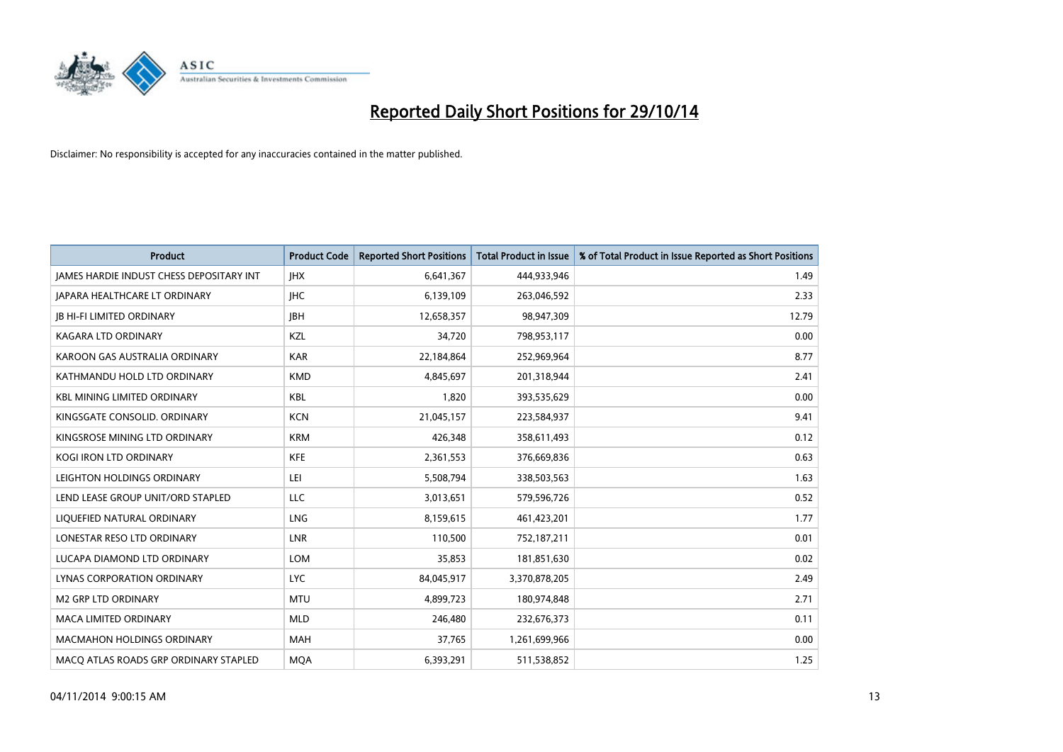

| <b>Product</b>                                  | <b>Product Code</b> | <b>Reported Short Positions</b> | <b>Total Product in Issue</b> | % of Total Product in Issue Reported as Short Positions |
|-------------------------------------------------|---------------------|---------------------------------|-------------------------------|---------------------------------------------------------|
| <b>JAMES HARDIE INDUST CHESS DEPOSITARY INT</b> | <b>IHX</b>          | 6,641,367                       | 444,933,946                   | 1.49                                                    |
| JAPARA HEALTHCARE LT ORDINARY                   | <b>IHC</b>          | 6,139,109                       | 263,046,592                   | 2.33                                                    |
| <b>IB HI-FI LIMITED ORDINARY</b>                | <b>IBH</b>          | 12,658,357                      | 98,947,309                    | 12.79                                                   |
| KAGARA LTD ORDINARY                             | KZL                 | 34,720                          | 798,953,117                   | 0.00                                                    |
| KAROON GAS AUSTRALIA ORDINARY                   | <b>KAR</b>          | 22,184,864                      | 252,969,964                   | 8.77                                                    |
| KATHMANDU HOLD LTD ORDINARY                     | <b>KMD</b>          | 4,845,697                       | 201,318,944                   | 2.41                                                    |
| <b>KBL MINING LIMITED ORDINARY</b>              | <b>KBL</b>          | 1.820                           | 393,535,629                   | 0.00                                                    |
| KINGSGATE CONSOLID. ORDINARY                    | <b>KCN</b>          | 21,045,157                      | 223,584,937                   | 9.41                                                    |
| KINGSROSE MINING LTD ORDINARY                   | <b>KRM</b>          | 426,348                         | 358,611,493                   | 0.12                                                    |
| <b>KOGI IRON LTD ORDINARY</b>                   | <b>KFE</b>          | 2,361,553                       | 376,669,836                   | 0.63                                                    |
| LEIGHTON HOLDINGS ORDINARY                      | LEI                 | 5,508,794                       | 338,503,563                   | 1.63                                                    |
| LEND LEASE GROUP UNIT/ORD STAPLED               | <b>LLC</b>          | 3,013,651                       | 579,596,726                   | 0.52                                                    |
| LIQUEFIED NATURAL ORDINARY                      | LNG                 | 8,159,615                       | 461,423,201                   | 1.77                                                    |
| LONESTAR RESO LTD ORDINARY                      | <b>LNR</b>          | 110,500                         | 752,187,211                   | 0.01                                                    |
| LUCAPA DIAMOND LTD ORDINARY                     | LOM                 | 35,853                          | 181,851,630                   | 0.02                                                    |
| <b>LYNAS CORPORATION ORDINARY</b>               | <b>LYC</b>          | 84,045,917                      | 3,370,878,205                 | 2.49                                                    |
| <b>M2 GRP LTD ORDINARY</b>                      | <b>MTU</b>          | 4,899,723                       | 180,974,848                   | 2.71                                                    |
| <b>MACA LIMITED ORDINARY</b>                    | <b>MLD</b>          | 246,480                         | 232,676,373                   | 0.11                                                    |
| <b>MACMAHON HOLDINGS ORDINARY</b>               | <b>MAH</b>          | 37,765                          | 1,261,699,966                 | 0.00                                                    |
| MACO ATLAS ROADS GRP ORDINARY STAPLED           | <b>MOA</b>          | 6,393,291                       | 511,538,852                   | 1.25                                                    |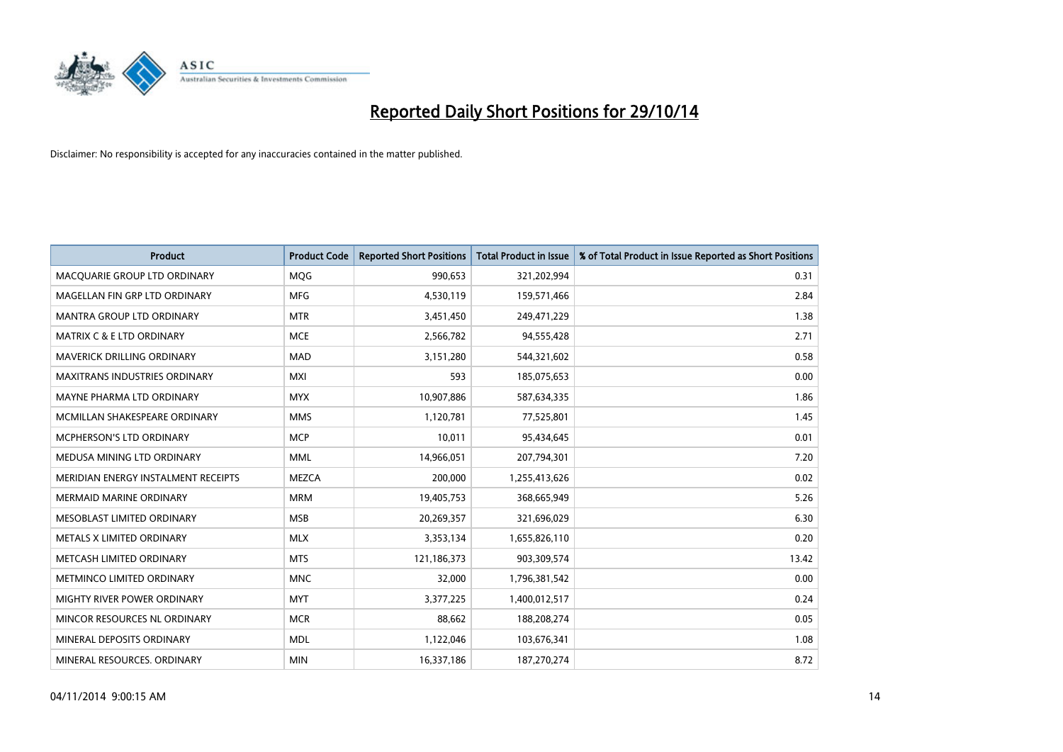

| <b>Product</b>                       | <b>Product Code</b> | <b>Reported Short Positions</b> | <b>Total Product in Issue</b> | % of Total Product in Issue Reported as Short Positions |
|--------------------------------------|---------------------|---------------------------------|-------------------------------|---------------------------------------------------------|
| MACQUARIE GROUP LTD ORDINARY         | MQG                 | 990,653                         | 321,202,994                   | 0.31                                                    |
| MAGELLAN FIN GRP LTD ORDINARY        | <b>MFG</b>          | 4,530,119                       | 159,571,466                   | 2.84                                                    |
| <b>MANTRA GROUP LTD ORDINARY</b>     | <b>MTR</b>          | 3,451,450                       | 249,471,229                   | 1.38                                                    |
| <b>MATRIX C &amp; E LTD ORDINARY</b> | <b>MCE</b>          | 2,566,782                       | 94,555,428                    | 2.71                                                    |
| <b>MAVERICK DRILLING ORDINARY</b>    | <b>MAD</b>          | 3,151,280                       | 544,321,602                   | 0.58                                                    |
| <b>MAXITRANS INDUSTRIES ORDINARY</b> | <b>MXI</b>          | 593                             | 185,075,653                   | 0.00                                                    |
| MAYNE PHARMA LTD ORDINARY            | <b>MYX</b>          | 10,907,886                      | 587,634,335                   | 1.86                                                    |
| MCMILLAN SHAKESPEARE ORDINARY        | <b>MMS</b>          | 1,120,781                       | 77,525,801                    | 1.45                                                    |
| <b>MCPHERSON'S LTD ORDINARY</b>      | <b>MCP</b>          | 10,011                          | 95,434,645                    | 0.01                                                    |
| MEDUSA MINING LTD ORDINARY           | <b>MML</b>          | 14,966,051                      | 207,794,301                   | 7.20                                                    |
| MERIDIAN ENERGY INSTALMENT RECEIPTS  | <b>MEZCA</b>        | 200,000                         | 1,255,413,626                 | 0.02                                                    |
| <b>MERMAID MARINE ORDINARY</b>       | <b>MRM</b>          | 19,405,753                      | 368,665,949                   | 5.26                                                    |
| MESOBLAST LIMITED ORDINARY           | <b>MSB</b>          | 20,269,357                      | 321,696,029                   | 6.30                                                    |
| METALS X LIMITED ORDINARY            | <b>MLX</b>          | 3,353,134                       | 1,655,826,110                 | 0.20                                                    |
| METCASH LIMITED ORDINARY             | <b>MTS</b>          | 121,186,373                     | 903,309,574                   | 13.42                                                   |
| METMINCO LIMITED ORDINARY            | <b>MNC</b>          | 32,000                          | 1,796,381,542                 | 0.00                                                    |
| MIGHTY RIVER POWER ORDINARY          | <b>MYT</b>          | 3,377,225                       | 1,400,012,517                 | 0.24                                                    |
| MINCOR RESOURCES NL ORDINARY         | <b>MCR</b>          | 88,662                          | 188,208,274                   | 0.05                                                    |
| MINERAL DEPOSITS ORDINARY            | <b>MDL</b>          | 1,122,046                       | 103,676,341                   | 1.08                                                    |
| MINERAL RESOURCES. ORDINARY          | <b>MIN</b>          | 16,337,186                      | 187,270,274                   | 8.72                                                    |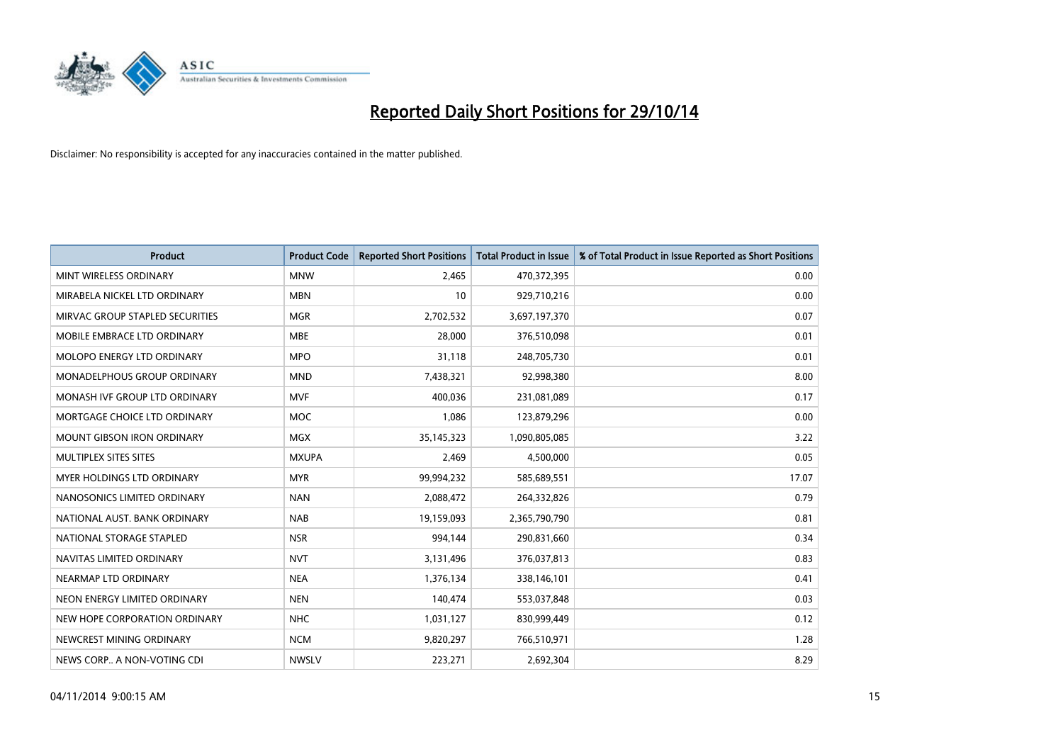

| <b>Product</b>                     | <b>Product Code</b> | <b>Reported Short Positions</b> | <b>Total Product in Issue</b> | % of Total Product in Issue Reported as Short Positions |
|------------------------------------|---------------------|---------------------------------|-------------------------------|---------------------------------------------------------|
| MINT WIRELESS ORDINARY             | <b>MNW</b>          | 2,465                           | 470,372,395                   | 0.00                                                    |
| MIRABELA NICKEL LTD ORDINARY       | <b>MBN</b>          | 10                              | 929,710,216                   | 0.00                                                    |
| MIRVAC GROUP STAPLED SECURITIES    | <b>MGR</b>          | 2,702,532                       | 3,697,197,370                 | 0.07                                                    |
| MOBILE EMBRACE LTD ORDINARY        | <b>MBE</b>          | 28,000                          | 376,510,098                   | 0.01                                                    |
| MOLOPO ENERGY LTD ORDINARY         | <b>MPO</b>          | 31,118                          | 248,705,730                   | 0.01                                                    |
| <b>MONADELPHOUS GROUP ORDINARY</b> | <b>MND</b>          | 7,438,321                       | 92,998,380                    | 8.00                                                    |
| MONASH IVF GROUP LTD ORDINARY      | <b>MVF</b>          | 400,036                         | 231,081,089                   | 0.17                                                    |
| MORTGAGE CHOICE LTD ORDINARY       | MOC                 | 1,086                           | 123,879,296                   | 0.00                                                    |
| <b>MOUNT GIBSON IRON ORDINARY</b>  | <b>MGX</b>          | 35, 145, 323                    | 1,090,805,085                 | 3.22                                                    |
| MULTIPLEX SITES SITES              | <b>MXUPA</b>        | 2,469                           | 4,500,000                     | 0.05                                                    |
| <b>MYER HOLDINGS LTD ORDINARY</b>  | <b>MYR</b>          | 99,994,232                      | 585,689,551                   | 17.07                                                   |
| NANOSONICS LIMITED ORDINARY        | <b>NAN</b>          | 2,088,472                       | 264,332,826                   | 0.79                                                    |
| NATIONAL AUST. BANK ORDINARY       | <b>NAB</b>          | 19,159,093                      | 2,365,790,790                 | 0.81                                                    |
| NATIONAL STORAGE STAPLED           | <b>NSR</b>          | 994,144                         | 290,831,660                   | 0.34                                                    |
| NAVITAS LIMITED ORDINARY           | <b>NVT</b>          | 3,131,496                       | 376,037,813                   | 0.83                                                    |
| NEARMAP LTD ORDINARY               | <b>NEA</b>          | 1,376,134                       | 338,146,101                   | 0.41                                                    |
| NEON ENERGY LIMITED ORDINARY       | <b>NEN</b>          | 140,474                         | 553,037,848                   | 0.03                                                    |
| NEW HOPE CORPORATION ORDINARY      | <b>NHC</b>          | 1,031,127                       | 830,999,449                   | 0.12                                                    |
| NEWCREST MINING ORDINARY           | <b>NCM</b>          | 9,820,297                       | 766,510,971                   | 1.28                                                    |
| NEWS CORP A NON-VOTING CDI         | <b>NWSLV</b>        | 223,271                         | 2,692,304                     | 8.29                                                    |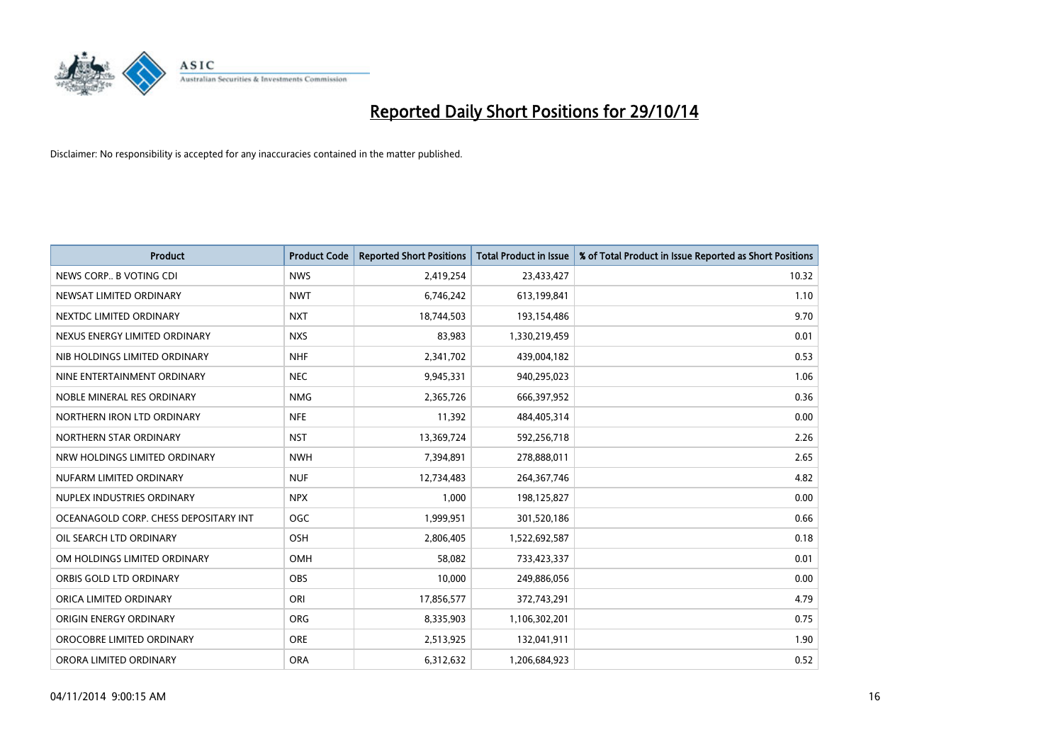

| <b>Product</b>                        | <b>Product Code</b> | <b>Reported Short Positions</b> | <b>Total Product in Issue</b> | % of Total Product in Issue Reported as Short Positions |
|---------------------------------------|---------------------|---------------------------------|-------------------------------|---------------------------------------------------------|
| NEWS CORP., B VOTING CDI              | <b>NWS</b>          | 2,419,254                       | 23,433,427                    | 10.32                                                   |
| NEWSAT LIMITED ORDINARY               | <b>NWT</b>          | 6,746,242                       | 613,199,841                   | 1.10                                                    |
| NEXTDC LIMITED ORDINARY               | <b>NXT</b>          | 18,744,503                      | 193,154,486                   | 9.70                                                    |
| NEXUS ENERGY LIMITED ORDINARY         | <b>NXS</b>          | 83,983                          | 1,330,219,459                 | 0.01                                                    |
| NIB HOLDINGS LIMITED ORDINARY         | <b>NHF</b>          | 2,341,702                       | 439,004,182                   | 0.53                                                    |
| NINE ENTERTAINMENT ORDINARY           | <b>NEC</b>          | 9,945,331                       | 940,295,023                   | 1.06                                                    |
| NOBLE MINERAL RES ORDINARY            | <b>NMG</b>          | 2,365,726                       | 666,397,952                   | 0.36                                                    |
| NORTHERN IRON LTD ORDINARY            | <b>NFE</b>          | 11,392                          | 484,405,314                   | 0.00                                                    |
| NORTHERN STAR ORDINARY                | <b>NST</b>          | 13,369,724                      | 592,256,718                   | 2.26                                                    |
| NRW HOLDINGS LIMITED ORDINARY         | <b>NWH</b>          | 7,394,891                       | 278,888,011                   | 2.65                                                    |
| NUFARM LIMITED ORDINARY               | <b>NUF</b>          | 12,734,483                      | 264,367,746                   | 4.82                                                    |
| NUPLEX INDUSTRIES ORDINARY            | <b>NPX</b>          | 1,000                           | 198,125,827                   | 0.00                                                    |
| OCEANAGOLD CORP. CHESS DEPOSITARY INT | <b>OGC</b>          | 1,999,951                       | 301,520,186                   | 0.66                                                    |
| OIL SEARCH LTD ORDINARY               | OSH                 | 2,806,405                       | 1,522,692,587                 | 0.18                                                    |
| OM HOLDINGS LIMITED ORDINARY          | <b>OMH</b>          | 58,082                          | 733,423,337                   | 0.01                                                    |
| ORBIS GOLD LTD ORDINARY               | <b>OBS</b>          | 10,000                          | 249,886,056                   | 0.00                                                    |
| ORICA LIMITED ORDINARY                | ORI                 | 17,856,577                      | 372,743,291                   | 4.79                                                    |
| ORIGIN ENERGY ORDINARY                | <b>ORG</b>          | 8,335,903                       | 1,106,302,201                 | 0.75                                                    |
| OROCOBRE LIMITED ORDINARY             | <b>ORE</b>          | 2,513,925                       | 132,041,911                   | 1.90                                                    |
| ORORA LIMITED ORDINARY                | <b>ORA</b>          | 6,312,632                       | 1,206,684,923                 | 0.52                                                    |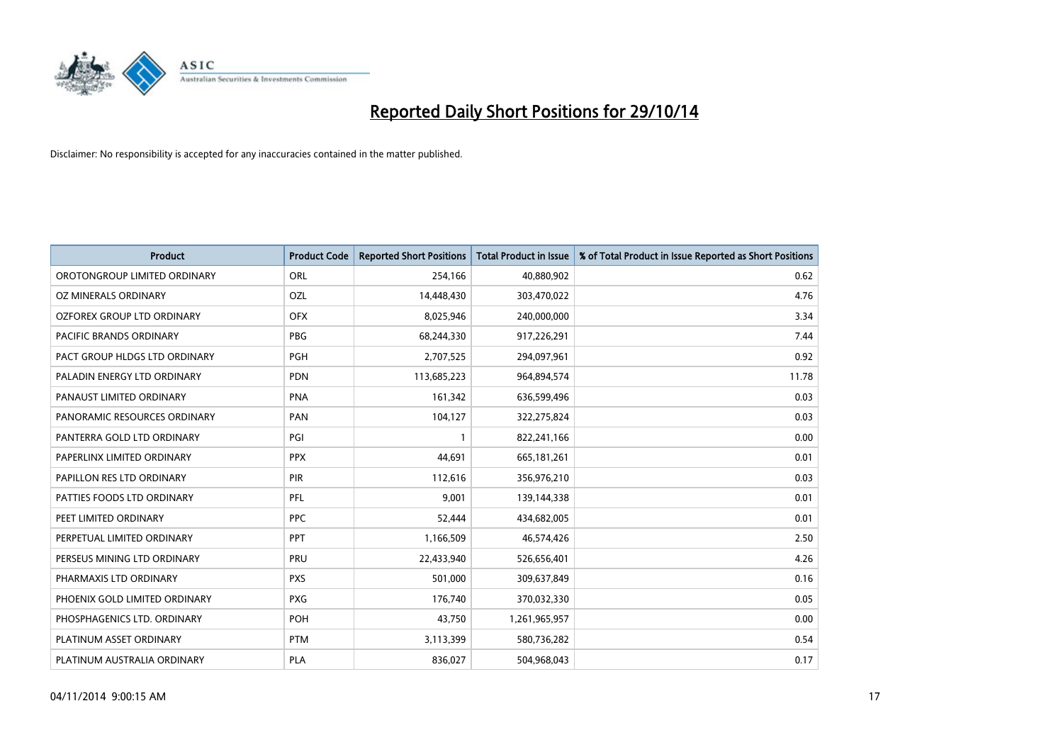

| <b>Product</b>                 | <b>Product Code</b> | <b>Reported Short Positions</b> | <b>Total Product in Issue</b> | % of Total Product in Issue Reported as Short Positions |
|--------------------------------|---------------------|---------------------------------|-------------------------------|---------------------------------------------------------|
| OROTONGROUP LIMITED ORDINARY   | ORL                 | 254,166                         | 40,880,902                    | 0.62                                                    |
| OZ MINERALS ORDINARY           | OZL                 | 14,448,430                      | 303,470,022                   | 4.76                                                    |
| OZFOREX GROUP LTD ORDINARY     | <b>OFX</b>          | 8,025,946                       | 240,000,000                   | 3.34                                                    |
| <b>PACIFIC BRANDS ORDINARY</b> | <b>PBG</b>          | 68,244,330                      | 917,226,291                   | 7.44                                                    |
| PACT GROUP HLDGS LTD ORDINARY  | <b>PGH</b>          | 2,707,525                       | 294,097,961                   | 0.92                                                    |
| PALADIN ENERGY LTD ORDINARY    | <b>PDN</b>          | 113,685,223                     | 964,894,574                   | 11.78                                                   |
| PANAUST LIMITED ORDINARY       | <b>PNA</b>          | 161,342                         | 636,599,496                   | 0.03                                                    |
| PANORAMIC RESOURCES ORDINARY   | PAN                 | 104,127                         | 322,275,824                   | 0.03                                                    |
| PANTERRA GOLD LTD ORDINARY     | PGI                 | 1                               | 822,241,166                   | 0.00                                                    |
| PAPERLINX LIMITED ORDINARY     | <b>PPX</b>          | 44,691                          | 665,181,261                   | 0.01                                                    |
| PAPILLON RES LTD ORDINARY      | PIR                 | 112,616                         | 356,976,210                   | 0.03                                                    |
| PATTIES FOODS LTD ORDINARY     | <b>PFL</b>          | 9,001                           | 139,144,338                   | 0.01                                                    |
| PEET LIMITED ORDINARY          | <b>PPC</b>          | 52,444                          | 434,682,005                   | 0.01                                                    |
| PERPETUAL LIMITED ORDINARY     | <b>PPT</b>          | 1,166,509                       | 46,574,426                    | 2.50                                                    |
| PERSEUS MINING LTD ORDINARY    | PRU                 | 22,433,940                      | 526,656,401                   | 4.26                                                    |
| PHARMAXIS LTD ORDINARY         | <b>PXS</b>          | 501,000                         | 309,637,849                   | 0.16                                                    |
| PHOENIX GOLD LIMITED ORDINARY  | <b>PXG</b>          | 176,740                         | 370,032,330                   | 0.05                                                    |
| PHOSPHAGENICS LTD. ORDINARY    | POH                 | 43,750                          | 1,261,965,957                 | 0.00                                                    |
| PLATINUM ASSET ORDINARY        | <b>PTM</b>          | 3,113,399                       | 580,736,282                   | 0.54                                                    |
| PLATINUM AUSTRALIA ORDINARY    | <b>PLA</b>          | 836,027                         | 504,968,043                   | 0.17                                                    |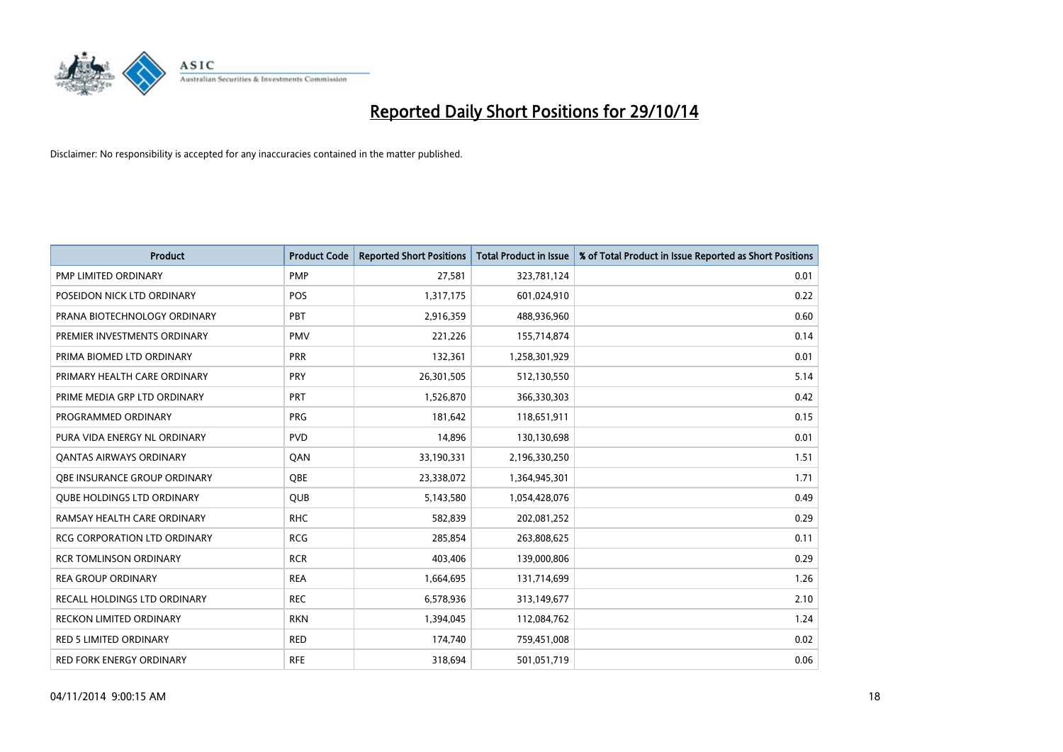

| <b>Product</b>                      | <b>Product Code</b> | <b>Reported Short Positions</b> | <b>Total Product in Issue</b> | % of Total Product in Issue Reported as Short Positions |
|-------------------------------------|---------------------|---------------------------------|-------------------------------|---------------------------------------------------------|
| <b>PMP LIMITED ORDINARY</b>         | <b>PMP</b>          | 27,581                          | 323,781,124                   | 0.01                                                    |
| POSEIDON NICK LTD ORDINARY          | <b>POS</b>          | 1,317,175                       | 601,024,910                   | 0.22                                                    |
| PRANA BIOTECHNOLOGY ORDINARY        | PBT                 | 2,916,359                       | 488,936,960                   | 0.60                                                    |
| PREMIER INVESTMENTS ORDINARY        | <b>PMV</b>          | 221,226                         | 155,714,874                   | 0.14                                                    |
| PRIMA BIOMED LTD ORDINARY           | <b>PRR</b>          | 132,361                         | 1,258,301,929                 | 0.01                                                    |
| PRIMARY HEALTH CARE ORDINARY        | PRY                 | 26,301,505                      | 512,130,550                   | 5.14                                                    |
| PRIME MEDIA GRP LTD ORDINARY        | <b>PRT</b>          | 1,526,870                       | 366,330,303                   | 0.42                                                    |
| PROGRAMMED ORDINARY                 | <b>PRG</b>          | 181,642                         | 118,651,911                   | 0.15                                                    |
| PURA VIDA ENERGY NL ORDINARY        | <b>PVD</b>          | 14,896                          | 130,130,698                   | 0.01                                                    |
| <b>QANTAS AIRWAYS ORDINARY</b>      | QAN                 | 33,190,331                      | 2,196,330,250                 | 1.51                                                    |
| OBE INSURANCE GROUP ORDINARY        | <b>OBE</b>          | 23,338,072                      | 1,364,945,301                 | 1.71                                                    |
| <b>QUBE HOLDINGS LTD ORDINARY</b>   | QUB                 | 5,143,580                       | 1,054,428,076                 | 0.49                                                    |
| RAMSAY HEALTH CARE ORDINARY         | <b>RHC</b>          | 582,839                         | 202,081,252                   | 0.29                                                    |
| <b>RCG CORPORATION LTD ORDINARY</b> | <b>RCG</b>          | 285,854                         | 263,808,625                   | 0.11                                                    |
| <b>RCR TOMLINSON ORDINARY</b>       | <b>RCR</b>          | 403,406                         | 139,000,806                   | 0.29                                                    |
| <b>REA GROUP ORDINARY</b>           | <b>REA</b>          | 1,664,695                       | 131,714,699                   | 1.26                                                    |
| RECALL HOLDINGS LTD ORDINARY        | <b>REC</b>          | 6,578,936                       | 313,149,677                   | 2.10                                                    |
| RECKON LIMITED ORDINARY             | <b>RKN</b>          | 1,394,045                       | 112,084,762                   | 1.24                                                    |
| <b>RED 5 LIMITED ORDINARY</b>       | <b>RED</b>          | 174,740                         | 759,451,008                   | 0.02                                                    |
| RED FORK ENERGY ORDINARY            | <b>RFE</b>          | 318,694                         | 501,051,719                   | 0.06                                                    |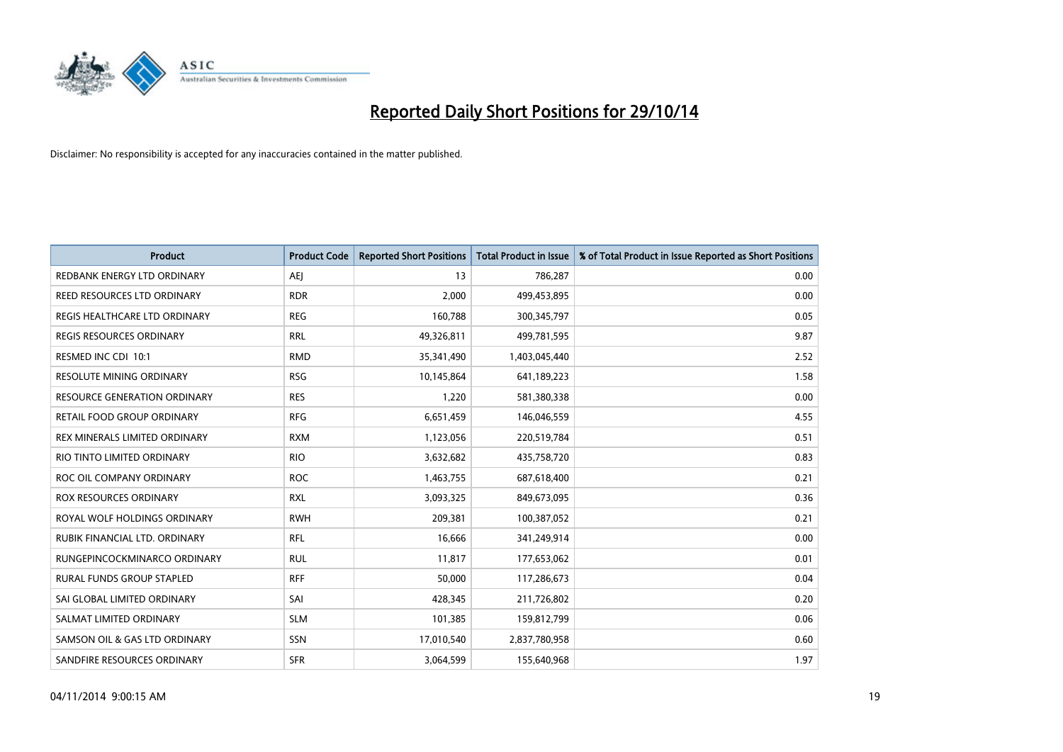

| <b>Product</b>                  | <b>Product Code</b> | <b>Reported Short Positions</b> | <b>Total Product in Issue</b> | % of Total Product in Issue Reported as Short Positions |
|---------------------------------|---------------------|---------------------------------|-------------------------------|---------------------------------------------------------|
| REDBANK ENERGY LTD ORDINARY     | <b>AEJ</b>          | 13                              | 786,287                       | 0.00                                                    |
| REED RESOURCES LTD ORDINARY     | <b>RDR</b>          | 2,000                           | 499,453,895                   | 0.00                                                    |
| REGIS HEALTHCARE LTD ORDINARY   | <b>REG</b>          | 160,788                         | 300, 345, 797                 | 0.05                                                    |
| REGIS RESOURCES ORDINARY        | <b>RRL</b>          | 49,326,811                      | 499,781,595                   | 9.87                                                    |
| RESMED INC CDI 10:1             | <b>RMD</b>          | 35,341,490                      | 1,403,045,440                 | 2.52                                                    |
| <b>RESOLUTE MINING ORDINARY</b> | <b>RSG</b>          | 10,145,864                      | 641,189,223                   | 1.58                                                    |
| RESOURCE GENERATION ORDINARY    | <b>RES</b>          | 1,220                           | 581,380,338                   | 0.00                                                    |
| RETAIL FOOD GROUP ORDINARY      | <b>RFG</b>          | 6,651,459                       | 146,046,559                   | 4.55                                                    |
| REX MINERALS LIMITED ORDINARY   | <b>RXM</b>          | 1,123,056                       | 220,519,784                   | 0.51                                                    |
| RIO TINTO LIMITED ORDINARY      | <b>RIO</b>          | 3,632,682                       | 435,758,720                   | 0.83                                                    |
| ROC OIL COMPANY ORDINARY        | <b>ROC</b>          | 1,463,755                       | 687,618,400                   | 0.21                                                    |
| ROX RESOURCES ORDINARY          | <b>RXL</b>          | 3,093,325                       | 849,673,095                   | 0.36                                                    |
| ROYAL WOLF HOLDINGS ORDINARY    | <b>RWH</b>          | 209,381                         | 100,387,052                   | 0.21                                                    |
| RUBIK FINANCIAL LTD, ORDINARY   | RFL                 | 16,666                          | 341,249,914                   | 0.00                                                    |
| RUNGEPINCOCKMINARCO ORDINARY    | <b>RUL</b>          | 11,817                          | 177,653,062                   | 0.01                                                    |
| RURAL FUNDS GROUP STAPLED       | <b>RFF</b>          | 50,000                          | 117,286,673                   | 0.04                                                    |
| SAI GLOBAL LIMITED ORDINARY     | SAI                 | 428,345                         | 211,726,802                   | 0.20                                                    |
| SALMAT LIMITED ORDINARY         | <b>SLM</b>          | 101,385                         | 159,812,799                   | 0.06                                                    |
| SAMSON OIL & GAS LTD ORDINARY   | SSN                 | 17,010,540                      | 2,837,780,958                 | 0.60                                                    |
| SANDFIRE RESOURCES ORDINARY     | <b>SFR</b>          | 3,064,599                       | 155,640,968                   | 1.97                                                    |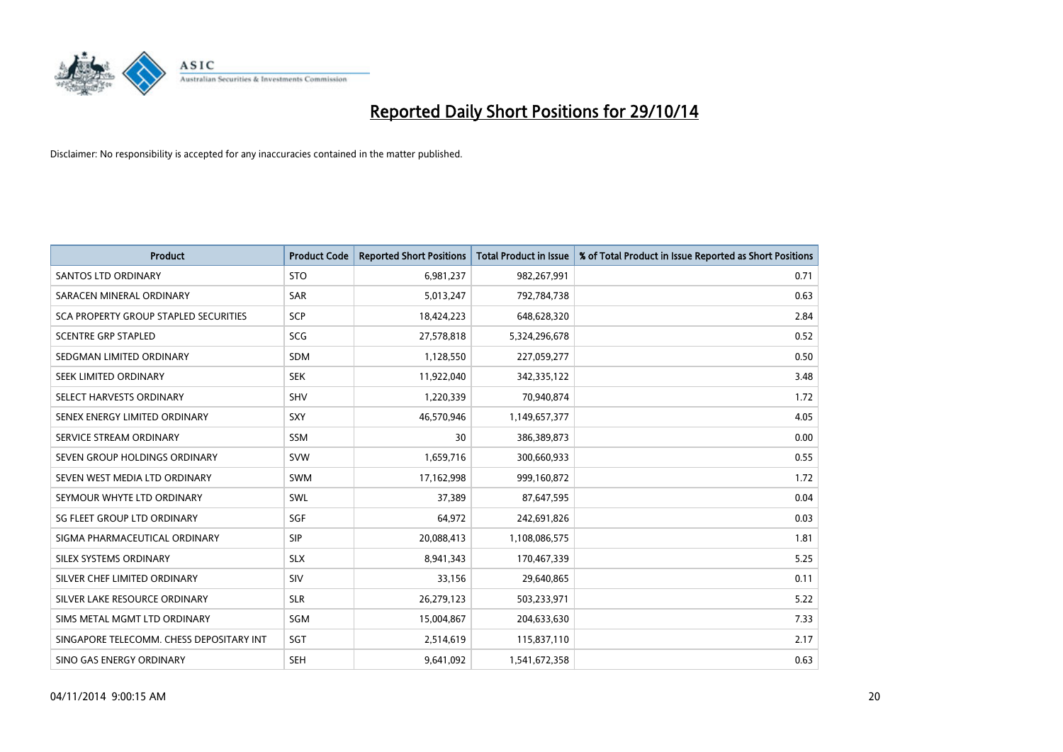

| <b>Product</b>                           | <b>Product Code</b> | <b>Reported Short Positions</b> | <b>Total Product in Issue</b> | % of Total Product in Issue Reported as Short Positions |
|------------------------------------------|---------------------|---------------------------------|-------------------------------|---------------------------------------------------------|
| <b>SANTOS LTD ORDINARY</b>               | <b>STO</b>          | 6,981,237                       | 982,267,991                   | 0.71                                                    |
| SARACEN MINERAL ORDINARY                 | <b>SAR</b>          | 5,013,247                       | 792,784,738                   | 0.63                                                    |
| SCA PROPERTY GROUP STAPLED SECURITIES    | SCP                 | 18,424,223                      | 648,628,320                   | 2.84                                                    |
| <b>SCENTRE GRP STAPLED</b>               | SCG                 | 27,578,818                      | 5,324,296,678                 | 0.52                                                    |
| SEDGMAN LIMITED ORDINARY                 | <b>SDM</b>          | 1,128,550                       | 227,059,277                   | 0.50                                                    |
| SEEK LIMITED ORDINARY                    | <b>SEK</b>          | 11,922,040                      | 342,335,122                   | 3.48                                                    |
| SELECT HARVESTS ORDINARY                 | <b>SHV</b>          | 1,220,339                       | 70,940,874                    | 1.72                                                    |
| SENEX ENERGY LIMITED ORDINARY            | SXY                 | 46,570,946                      | 1,149,657,377                 | 4.05                                                    |
| SERVICE STREAM ORDINARY                  | SSM                 | 30                              | 386,389,873                   | 0.00                                                    |
| SEVEN GROUP HOLDINGS ORDINARY            | <b>SVW</b>          | 1,659,716                       | 300,660,933                   | 0.55                                                    |
| SEVEN WEST MEDIA LTD ORDINARY            | <b>SWM</b>          | 17,162,998                      | 999,160,872                   | 1.72                                                    |
| SEYMOUR WHYTE LTD ORDINARY               | <b>SWL</b>          | 37,389                          | 87,647,595                    | 0.04                                                    |
| SG FLEET GROUP LTD ORDINARY              | SGF                 | 64,972                          | 242,691,826                   | 0.03                                                    |
| SIGMA PHARMACEUTICAL ORDINARY            | <b>SIP</b>          | 20,088,413                      | 1,108,086,575                 | 1.81                                                    |
| SILEX SYSTEMS ORDINARY                   | <b>SLX</b>          | 8,941,343                       | 170,467,339                   | 5.25                                                    |
| SILVER CHEF LIMITED ORDINARY             | <b>SIV</b>          | 33,156                          | 29,640,865                    | 0.11                                                    |
| SILVER LAKE RESOURCE ORDINARY            | <b>SLR</b>          | 26,279,123                      | 503,233,971                   | 5.22                                                    |
| SIMS METAL MGMT LTD ORDINARY             | SGM                 | 15,004,867                      | 204,633,630                   | 7.33                                                    |
| SINGAPORE TELECOMM. CHESS DEPOSITARY INT | SGT                 | 2,514,619                       | 115,837,110                   | 2.17                                                    |
| SINO GAS ENERGY ORDINARY                 | SEH                 | 9,641,092                       | 1,541,672,358                 | 0.63                                                    |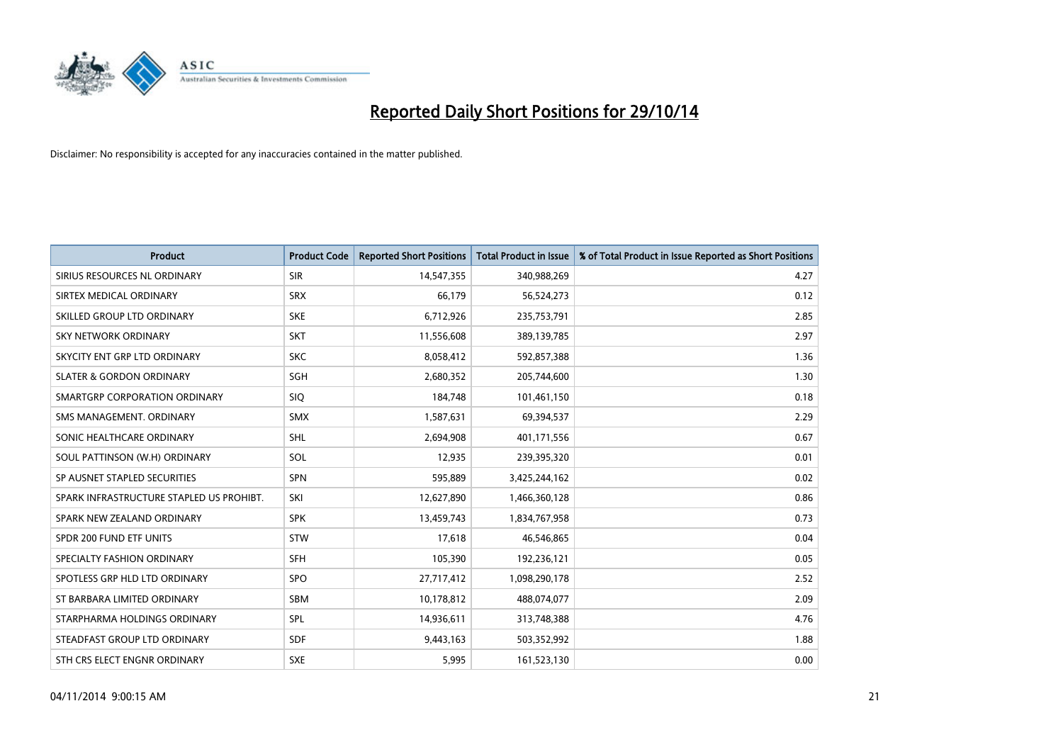

| <b>Product</b>                           | <b>Product Code</b> | <b>Reported Short Positions</b> | <b>Total Product in Issue</b> | % of Total Product in Issue Reported as Short Positions |
|------------------------------------------|---------------------|---------------------------------|-------------------------------|---------------------------------------------------------|
| SIRIUS RESOURCES NL ORDINARY             | <b>SIR</b>          | 14,547,355                      | 340,988,269                   | 4.27                                                    |
| SIRTEX MEDICAL ORDINARY                  | <b>SRX</b>          | 66,179                          | 56,524,273                    | 0.12                                                    |
| SKILLED GROUP LTD ORDINARY               | <b>SKE</b>          | 6,712,926                       | 235,753,791                   | 2.85                                                    |
| SKY NETWORK ORDINARY                     | <b>SKT</b>          | 11,556,608                      | 389,139,785                   | 2.97                                                    |
| SKYCITY ENT GRP LTD ORDINARY             | <b>SKC</b>          | 8,058,412                       | 592,857,388                   | 1.36                                                    |
| <b>SLATER &amp; GORDON ORDINARY</b>      | SGH                 | 2,680,352                       | 205,744,600                   | 1.30                                                    |
| SMARTGRP CORPORATION ORDINARY            | <b>SIQ</b>          | 184,748                         | 101,461,150                   | 0.18                                                    |
| SMS MANAGEMENT, ORDINARY                 | <b>SMX</b>          | 1,587,631                       | 69,394,537                    | 2.29                                                    |
| SONIC HEALTHCARE ORDINARY                | <b>SHL</b>          | 2,694,908                       | 401,171,556                   | 0.67                                                    |
| SOUL PATTINSON (W.H) ORDINARY            | SOL                 | 12,935                          | 239,395,320                   | 0.01                                                    |
| SP AUSNET STAPLED SECURITIES             | <b>SPN</b>          | 595,889                         | 3,425,244,162                 | 0.02                                                    |
| SPARK INFRASTRUCTURE STAPLED US PROHIBT. | SKI                 | 12,627,890                      | 1,466,360,128                 | 0.86                                                    |
| SPARK NEW ZEALAND ORDINARY               | <b>SPK</b>          | 13,459,743                      | 1,834,767,958                 | 0.73                                                    |
| SPDR 200 FUND ETF UNITS                  | <b>STW</b>          | 17,618                          | 46,546,865                    | 0.04                                                    |
| SPECIALTY FASHION ORDINARY               | <b>SFH</b>          | 105,390                         | 192,236,121                   | 0.05                                                    |
| SPOTLESS GRP HLD LTD ORDINARY            | <b>SPO</b>          | 27,717,412                      | 1,098,290,178                 | 2.52                                                    |
| ST BARBARA LIMITED ORDINARY              | <b>SBM</b>          | 10,178,812                      | 488,074,077                   | 2.09                                                    |
| STARPHARMA HOLDINGS ORDINARY             | SPL                 | 14,936,611                      | 313,748,388                   | 4.76                                                    |
| STEADFAST GROUP LTD ORDINARY             | <b>SDF</b>          | 9,443,163                       | 503,352,992                   | 1.88                                                    |
| STH CRS ELECT ENGNR ORDINARY             | <b>SXE</b>          | 5,995                           | 161,523,130                   | 0.00                                                    |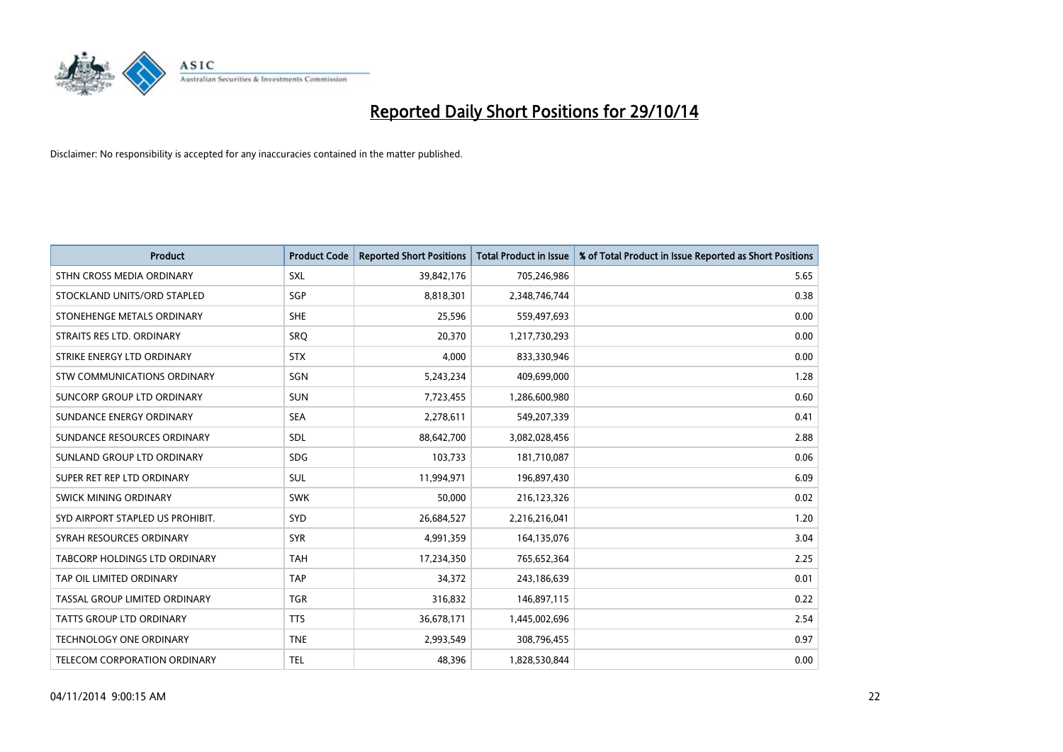

| <b>Product</b>                   | <b>Product Code</b> | <b>Reported Short Positions</b> | <b>Total Product in Issue</b> | % of Total Product in Issue Reported as Short Positions |
|----------------------------------|---------------------|---------------------------------|-------------------------------|---------------------------------------------------------|
| STHN CROSS MEDIA ORDINARY        | <b>SXL</b>          | 39,842,176                      | 705,246,986                   | 5.65                                                    |
| STOCKLAND UNITS/ORD STAPLED      | SGP                 | 8,818,301                       | 2,348,746,744                 | 0.38                                                    |
| STONEHENGE METALS ORDINARY       | <b>SHE</b>          | 25,596                          | 559,497,693                   | 0.00                                                    |
| STRAITS RES LTD. ORDINARY        | <b>SRQ</b>          | 20,370                          | 1,217,730,293                 | 0.00                                                    |
| STRIKE ENERGY LTD ORDINARY       | <b>STX</b>          | 4,000                           | 833,330,946                   | 0.00                                                    |
| STW COMMUNICATIONS ORDINARY      | SGN                 | 5,243,234                       | 409,699,000                   | 1.28                                                    |
| SUNCORP GROUP LTD ORDINARY       | <b>SUN</b>          | 7,723,455                       | 1,286,600,980                 | 0.60                                                    |
| SUNDANCE ENERGY ORDINARY         | <b>SEA</b>          | 2,278,611                       | 549,207,339                   | 0.41                                                    |
| SUNDANCE RESOURCES ORDINARY      | SDL                 | 88,642,700                      | 3,082,028,456                 | 2.88                                                    |
| SUNLAND GROUP LTD ORDINARY       | <b>SDG</b>          | 103,733                         | 181,710,087                   | 0.06                                                    |
| SUPER RET REP LTD ORDINARY       | SUL                 | 11,994,971                      | 196,897,430                   | 6.09                                                    |
| <b>SWICK MINING ORDINARY</b>     | <b>SWK</b>          | 50,000                          | 216,123,326                   | 0.02                                                    |
| SYD AIRPORT STAPLED US PROHIBIT. | <b>SYD</b>          | 26,684,527                      | 2,216,216,041                 | 1.20                                                    |
| SYRAH RESOURCES ORDINARY         | <b>SYR</b>          | 4,991,359                       | 164,135,076                   | 3.04                                                    |
| TABCORP HOLDINGS LTD ORDINARY    | <b>TAH</b>          | 17,234,350                      | 765,652,364                   | 2.25                                                    |
| TAP OIL LIMITED ORDINARY         | <b>TAP</b>          | 34,372                          | 243,186,639                   | 0.01                                                    |
| TASSAL GROUP LIMITED ORDINARY    | <b>TGR</b>          | 316,832                         | 146,897,115                   | 0.22                                                    |
| <b>TATTS GROUP LTD ORDINARY</b>  | <b>TTS</b>          | 36,678,171                      | 1,445,002,696                 | 2.54                                                    |
| <b>TECHNOLOGY ONE ORDINARY</b>   | <b>TNE</b>          | 2,993,549                       | 308,796,455                   | 0.97                                                    |
| TELECOM CORPORATION ORDINARY     | <b>TEL</b>          | 48,396                          | 1,828,530,844                 | 0.00                                                    |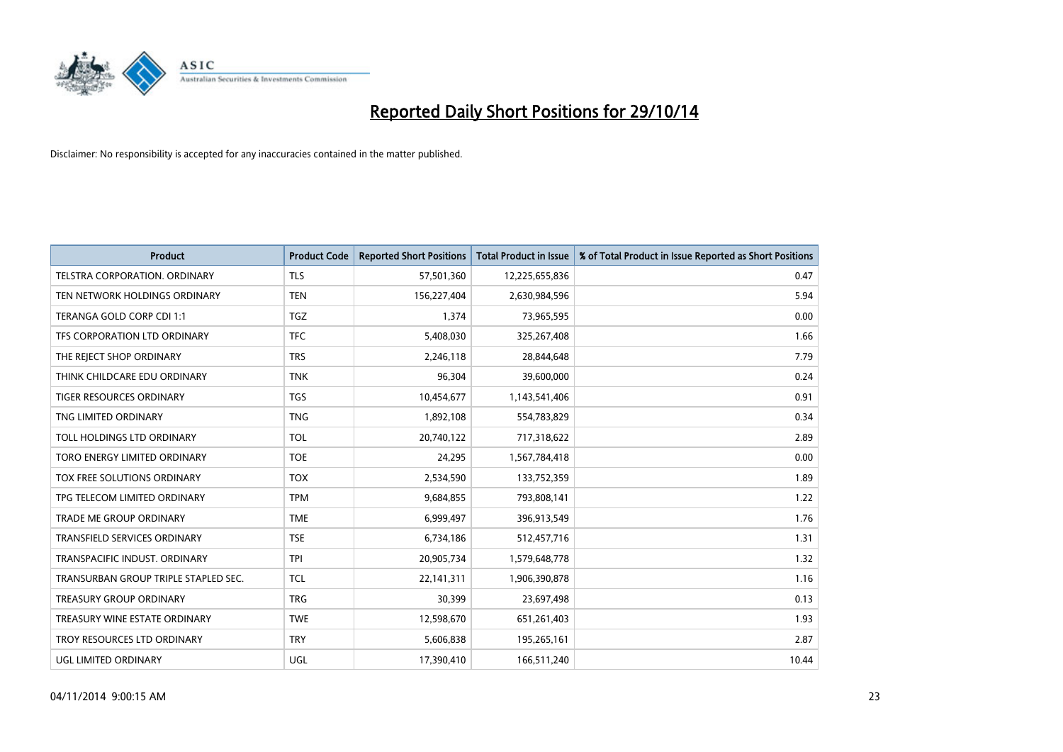

| <b>Product</b>                       | <b>Product Code</b> | <b>Reported Short Positions</b> | <b>Total Product in Issue</b> | % of Total Product in Issue Reported as Short Positions |
|--------------------------------------|---------------------|---------------------------------|-------------------------------|---------------------------------------------------------|
| <b>TELSTRA CORPORATION, ORDINARY</b> | <b>TLS</b>          | 57,501,360                      | 12,225,655,836                | 0.47                                                    |
| TEN NETWORK HOLDINGS ORDINARY        | <b>TEN</b>          | 156,227,404                     | 2,630,984,596                 | 5.94                                                    |
| TERANGA GOLD CORP CDI 1:1            | <b>TGZ</b>          | 1,374                           | 73,965,595                    | 0.00                                                    |
| TFS CORPORATION LTD ORDINARY         | <b>TFC</b>          | 5,408,030                       | 325,267,408                   | 1.66                                                    |
| THE REJECT SHOP ORDINARY             | <b>TRS</b>          | 2,246,118                       | 28,844,648                    | 7.79                                                    |
| THINK CHILDCARE EDU ORDINARY         | <b>TNK</b>          | 96,304                          | 39,600,000                    | 0.24                                                    |
| TIGER RESOURCES ORDINARY             | <b>TGS</b>          | 10,454,677                      | 1,143,541,406                 | 0.91                                                    |
| TNG LIMITED ORDINARY                 | <b>TNG</b>          | 1,892,108                       | 554,783,829                   | 0.34                                                    |
| TOLL HOLDINGS LTD ORDINARY           | <b>TOL</b>          | 20,740,122                      | 717,318,622                   | 2.89                                                    |
| TORO ENERGY LIMITED ORDINARY         | <b>TOE</b>          | 24,295                          | 1,567,784,418                 | 0.00                                                    |
| TOX FREE SOLUTIONS ORDINARY          | <b>TOX</b>          | 2,534,590                       | 133,752,359                   | 1.89                                                    |
| TPG TELECOM LIMITED ORDINARY         | <b>TPM</b>          | 9,684,855                       | 793,808,141                   | 1.22                                                    |
| <b>TRADE ME GROUP ORDINARY</b>       | <b>TME</b>          | 6,999,497                       | 396,913,549                   | 1.76                                                    |
| <b>TRANSFIELD SERVICES ORDINARY</b>  | <b>TSE</b>          | 6,734,186                       | 512,457,716                   | 1.31                                                    |
| TRANSPACIFIC INDUST, ORDINARY        | <b>TPI</b>          | 20,905,734                      | 1,579,648,778                 | 1.32                                                    |
| TRANSURBAN GROUP TRIPLE STAPLED SEC. | TCL                 | 22,141,311                      | 1,906,390,878                 | 1.16                                                    |
| TREASURY GROUP ORDINARY              | <b>TRG</b>          | 30,399                          | 23,697,498                    | 0.13                                                    |
| TREASURY WINE ESTATE ORDINARY        | <b>TWE</b>          | 12,598,670                      | 651,261,403                   | 1.93                                                    |
| TROY RESOURCES LTD ORDINARY          | <b>TRY</b>          | 5,606,838                       | 195,265,161                   | 2.87                                                    |
| UGL LIMITED ORDINARY                 | UGL                 | 17,390,410                      | 166,511,240                   | 10.44                                                   |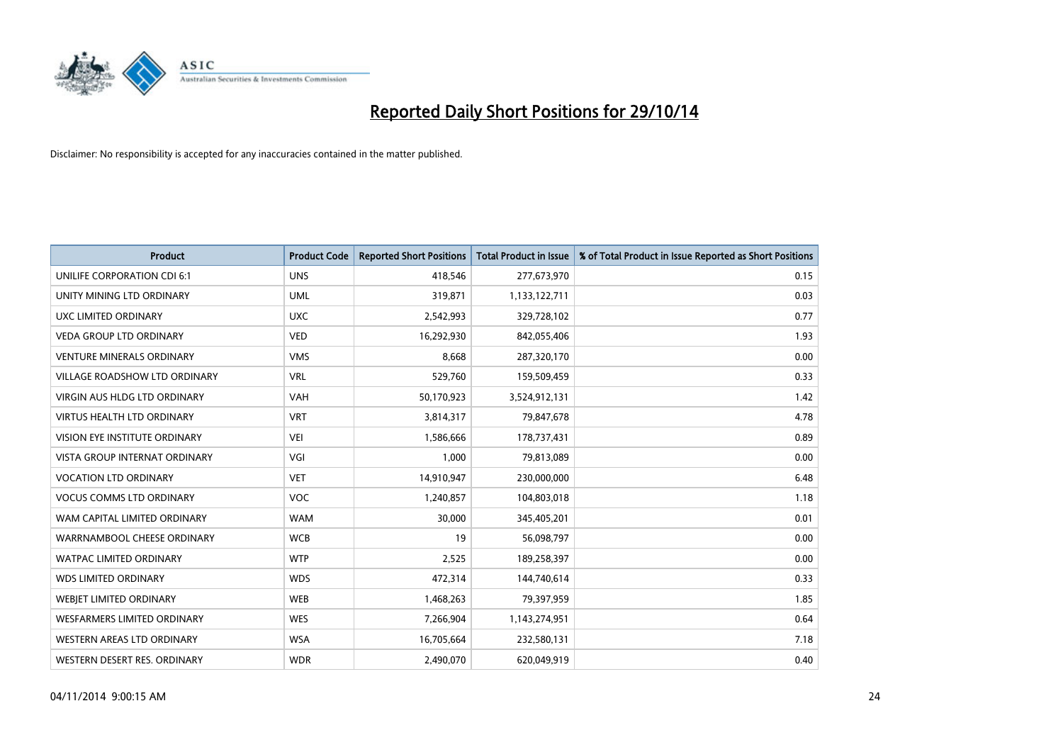

| <b>Product</b>                       | <b>Product Code</b> | <b>Reported Short Positions</b> | <b>Total Product in Issue</b> | % of Total Product in Issue Reported as Short Positions |
|--------------------------------------|---------------------|---------------------------------|-------------------------------|---------------------------------------------------------|
| UNILIFE CORPORATION CDI 6:1          | <b>UNS</b>          | 418,546                         | 277,673,970                   | 0.15                                                    |
| UNITY MINING LTD ORDINARY            | <b>UML</b>          | 319,871                         | 1,133,122,711                 | 0.03                                                    |
| UXC LIMITED ORDINARY                 | <b>UXC</b>          | 2,542,993                       | 329,728,102                   | 0.77                                                    |
| <b>VEDA GROUP LTD ORDINARY</b>       | <b>VED</b>          | 16,292,930                      | 842,055,406                   | 1.93                                                    |
| <b>VENTURE MINERALS ORDINARY</b>     | <b>VMS</b>          | 8,668                           | 287,320,170                   | 0.00                                                    |
| <b>VILLAGE ROADSHOW LTD ORDINARY</b> | <b>VRL</b>          | 529,760                         | 159,509,459                   | 0.33                                                    |
| <b>VIRGIN AUS HLDG LTD ORDINARY</b>  | <b>VAH</b>          | 50,170,923                      | 3,524,912,131                 | 1.42                                                    |
| <b>VIRTUS HEALTH LTD ORDINARY</b>    | <b>VRT</b>          | 3,814,317                       | 79,847,678                    | 4.78                                                    |
| VISION EYE INSTITUTE ORDINARY        | <b>VEI</b>          | 1,586,666                       | 178,737,431                   | 0.89                                                    |
| <b>VISTA GROUP INTERNAT ORDINARY</b> | VGI                 | 1,000                           | 79,813,089                    | 0.00                                                    |
| <b>VOCATION LTD ORDINARY</b>         | <b>VET</b>          | 14,910,947                      | 230,000,000                   | 6.48                                                    |
| <b>VOCUS COMMS LTD ORDINARY</b>      | <b>VOC</b>          | 1,240,857                       | 104,803,018                   | 1.18                                                    |
| WAM CAPITAL LIMITED ORDINARY         | <b>WAM</b>          | 30,000                          | 345,405,201                   | 0.01                                                    |
| WARRNAMBOOL CHEESE ORDINARY          | <b>WCB</b>          | 19                              | 56,098,797                    | 0.00                                                    |
| <b>WATPAC LIMITED ORDINARY</b>       | <b>WTP</b>          | 2,525                           | 189,258,397                   | 0.00                                                    |
| <b>WDS LIMITED ORDINARY</b>          | <b>WDS</b>          | 472,314                         | 144,740,614                   | 0.33                                                    |
| WEBIET LIMITED ORDINARY              | <b>WEB</b>          | 1,468,263                       | 79,397,959                    | 1.85                                                    |
| WESFARMERS LIMITED ORDINARY          | <b>WES</b>          | 7,266,904                       | 1,143,274,951                 | 0.64                                                    |
| WESTERN AREAS LTD ORDINARY           | <b>WSA</b>          | 16,705,664                      | 232,580,131                   | 7.18                                                    |
| WESTERN DESERT RES. ORDINARY         | <b>WDR</b>          | 2,490,070                       | 620,049,919                   | 0.40                                                    |